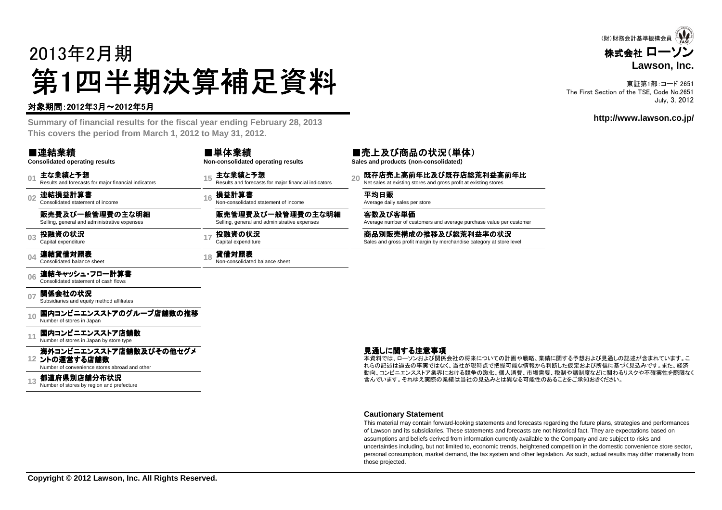# 2013年2月期第1四半期決算補足資料<br><del>"卿恩"的</del>

### 対象期間:2012年3月~2012年5月

 **Summary of financial results for the fiscal year ending February 28, 2013This covers the period from March 1, 2012 to May 31, 2012.**

#### ■連結業績**Consolidated operating results**

**01**

**02**

**03**

**04**

■単体業績**Non-consolidated operating results**

主な業績と予想<br>Results and forecasts for major financial indicators

**<sup>16</sup>** 損益計算書 Non-consolidated statement of income 平均日販 Average daily sales per store

販売管理費及び一般管理費の主な明 Selling, general and administrative expenses

**<sup>18</sup>** 貸借対照表 Non-consolidated balance sheet

#### ■売上及び商品の状況(単体) **Sales and products** (**non-consolidated**)

**<sup>15</sup>** 主な業績と予想 Results and forecasts for major financial indicators **<sup>20</sup>** 既存店売上高前年比及び既存店総荒利益高前年比 び既存店総荒利益高前年比 Net sales at existing stores and gross profit at existing stores

客数及び客単価Average number of customers and average purchase value per customer

**<sup>17</sup>** 投融資の状況 Capital expenditure 商品別販売構成の推移及び総荒利益率の状況 Sales and gross profit margin by merchandise category at store level

### 連結貸借対照表<br>Consolidated balance sheet **06**連結キャッシュ・フロー計算書 Consolidated statement of cash flows

連結損益計算書 Consolidated statement of income

販売費及び一般管理費の主な明細Selling, general and administrative expenses

**07**

**投融資の状況**<br><sub>Capital expenditure</sub>

**関係会社の状況**<br>Subsidiaries and equity method affiliates

**10**国内コンビニエンスストアのグループ店舗数の推移<br>Number of stores in Japan

**11**国内コンビニエンスストア店舗数<br>Number of stores in Japan by store type

海外コンビニエンスストア店舗数及びその他セグメ<br>ントの運営する店舗数

**12**ントの運営する店舗数Number of convenience stores abroad and other

#### **13**都道府県別店舗分布状況<br>Number of stores by region and prefecture

### 見通しに関する注意事項

 本資料では、ローソンおよび関係会社の将来についての計画や戦略、業績に関する予想および見通しの記述が含まれています。こ れらの記述は過去の事実ではなく、当社が現時点で把握可能な情報から判断した仮定および所信に基づく見込みです。また、経済 動向、コンビニエンスストア業界における競争の激化、個人消費、市場需要、税制や諸制度などに関わるリスクや不確実性を際限なく含んでいます。それゆえ実際の業績は当社の見込みとは異なる可能性のあることをご承知おきください。

#### **Cautionary Statement**

 This material may contain forward-looking statements and forecasts regarding the future plans, strategies and performancesof Lawson and its subsidiaries. These statements and forecasts are not historical fact. They are expectations based onassumptions and beliefs derived from information currently available to the Company and are subject to risks and uncertainties including, but not limited to, economic trends, heightened competition in the domestic convenience store sector, personal consumption, market demand, the tax system and other legislation. As such, actual results may differ materially fromthose projected.

株式会社 ローソン **Lawson, Inc.**(財)財務会計基準機構会員

東証第1部:コード 2651 The First Section of the TSE, Code No.2651July, 3, 2012

### **http://www.lawson.co.jp/**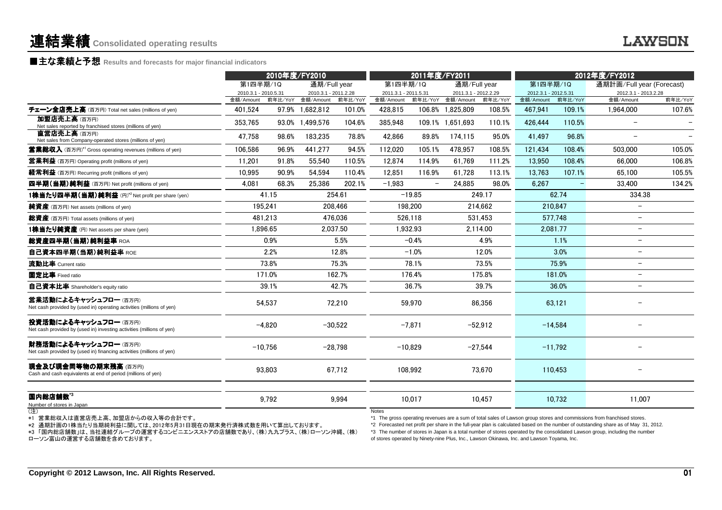### ■主な業績と予想 **Results and forecasts for major financial indicators**

|                                                                                               |                      | 2010年度/FY2010 |                                   |           |                      | 2011年度/FY2011          |                                   |           |                                   |           | 2012年度/FY2012                     |                   |
|-----------------------------------------------------------------------------------------------|----------------------|---------------|-----------------------------------|-----------|----------------------|------------------------|-----------------------------------|-----------|-----------------------------------|-----------|-----------------------------------|-------------------|
|                                                                                               | 第1四半期/1Q             |               | 通期/Full year                      |           | 第1四半期/1Q             |                        | 通期/Full year                      |           | 第1四半期/1Q                          |           | 通期計画/Full year (Forecast)         |                   |
|                                                                                               | 2010.3.1 - 2010.5.31 | 前年比/YoY       | 2010.3.1 - 2011.2.28<br>金額/Amount | 前年比/YoY   | 2011.3.1 - 2011.5.31 | 前年比/YoY                | 2011.3.1 - 2012.2.29<br>金額/Amount | 前年比/YoY   | 2012.3.1 - 2012.5.31<br>金額/Amount | 前年比/YoY   | 2012.3.1 - 2013.2.28<br>金額/Amount |                   |
| チェーン全店売上高 (百万円) Total net sales (millions of yen)                                             | 金額/Amount<br>401,524 | 97.9%         | 1,682,812                         | 101.0%    | 金額/Amount<br>428,815 |                        | 106.8% 1,825,809                  | 108.5%    | 467,941                           | 109.1%    | 1,964,000                         | 前年比/YoY<br>107.6% |
| 加盟店売上高(百万円)<br>Net sales reported by franchised stores (millions of yen)                      | 353.765              | 93.0%         | 1.499.576                         | 104.6%    | 385.948              |                        | 109.1% 1.651.693                  | 110.1%    | 426.444                           | 110.5%    | $\overline{\phantom{a}}$          |                   |
| 直営店売上高(百万円)<br>Net sales from Company-operated stores (millions of yen)                       | 47.758               | 98.6%         | 183.235                           | 78.8%     | 42.866               | 89.8%                  | 174.115                           | 95.0%     | 41.497                            | 96.8%     | $\overline{\phantom{0}}$          |                   |
| <b>営業総収入</b> (百万円) <sup>*1</sup> Gross operating revenues (millions of yen)                   | 106.586              | 96.9%         | 441.277                           | 94.5%     | 112.020              | 105.1%                 | 478.957                           | 108.5%    | 121.434                           | 108.4%    | 503.000                           | 105.0%            |
| <b>営業利益</b> (百万円) Operating profit (millions of yen)                                          | 11.201               | 91.8%         | 55,540                            | 110.5%    | 12.874               | 114.9%                 | 61.769                            | 111.2%    | 13.950                            | 108.4%    | 66,000                            | 106.8%            |
| 経常利益 (百万円) Recurring profit (millions of yen)                                                 | 10.995               | 90.9%         | 54.594                            | 110.4%    | 12,851               | 116.9%                 | 61.728                            | 113.1%    | 13,763                            | 107.1%    | 65.100                            | 105.5%            |
| 四半期(当期)純利益 (百万円) Net profit (millions of yen)                                                 | 4.081                | 68.3%         | 25.386                            | 202.1%    | $-1.983$             |                        | 24.885                            | 98.0%     | 6.267                             |           | 33,400                            | 134.2%            |
| 1株当たり四半期 (当期) 純利益 (円)*2 Net profit per share (yen)                                            |                      | 41.15         |                                   | 254.61    |                      | $-19.85$               |                                   | 249.17    |                                   | 62.74     | 334.38                            |                   |
| 純資産 (百万円) Net assets (millions of yen)                                                        |                      | 195,241       |                                   | 208,466   |                      | 198,200                | 214,662                           |           | 210,847                           |           | $\overline{\phantom{m}}$          |                   |
| 総資産 (百万円) Total assets (millions of yen)                                                      |                      | 481.213       |                                   | 476.036   |                      | 526.118                |                                   | 531.453   |                                   | 577.748   | $\overline{\phantom{m}}$          |                   |
| 1株当たり純資産 (円) Net assets per share (yen)                                                       |                      | 1,896.65      |                                   | 2,037.50  |                      | 1,932.93               |                                   | 2,114.00  |                                   | 2,081.77  | $\overline{\phantom{0}}$          |                   |
| 総資産四半期(当期)純利益率 ROA                                                                            |                      | 0.9%          |                                   | 5.5%      |                      | $-0.4%$                |                                   | 4.9%      |                                   | 1.1%      | $\overline{\phantom{m}}$          |                   |
| 自己資本四半期(当期)純利益率 ROE                                                                           |                      | 2.2%          |                                   | 12.8%     |                      | $-1.0%$                |                                   | 12.0%     |                                   | 3.0%      | $\overline{\phantom{m}}$          |                   |
| 流動比率 Current ratio                                                                            |                      | 73.8%         |                                   | 75.3%     |                      | 78.1%                  |                                   | 73.5%     |                                   | 75.9%     | $\overline{\phantom{m}}$          |                   |
| 固定比率 Fixed ratio                                                                              |                      | 171.0%        |                                   | 162.7%    |                      | 176.4%                 |                                   | 175.8%    |                                   | 181.0%    | $\overline{\phantom{m}}$          |                   |
| 自己資本比率 Shareholder's equity ratio                                                             |                      | 39.1%         |                                   | 42.7%     |                      | 36.7%                  |                                   | 39.7%     |                                   | 36.0%     | $\overline{\phantom{a}}$          |                   |
| 営業活動によるキャッシュフロー(百万円)<br>Net cash provided by (used in) operating activities (millions of yen) |                      | 54,537        |                                   | 72,210    |                      | 59,970                 |                                   | 86,356    |                                   | 63,121    |                                   |                   |
| 投資活動によるキャッシュフロー(百万円)<br>Net cash provided by (used in) investing activities (millions of yen) |                      | $-4,820$      |                                   | $-30,522$ |                      | $-7.871$               |                                   | $-52,912$ |                                   | $-14,584$ |                                   |                   |
| 財務活動によるキャッシュフロー(百万円)<br>Net cash provided by (used in) financing activities (millions of yen) |                      | $-10,756$     |                                   | $-28,798$ |                      | $-10.829$<br>$-27.544$ |                                   | $-11,792$ |                                   |           |                                   |                   |
| 現金及び現金同等物の期末残高 (百万円)<br>Cash and cash equivalents at end of period (millions of yen)          |                      | 93,803        |                                   | 67,712    |                      | 108,992                |                                   | 73,670    |                                   | 110,453   |                                   |                   |
|                                                                                               |                      |               |                                   |           |                      |                        |                                   |           |                                   |           |                                   |                   |
| 国内総店舗数"<br>Number of stores in Japan                                                          |                      | 9,792         |                                   | 9,994     |                      | 10,017                 |                                   | 10,457    |                                   | 10,732    | 11,007                            |                   |

(注)

\*1 営業総収入は直営店売上高、加盟店からの収入等の合計です。

\*2 通期計画の1株当たり当期純利益に関しては、2012年5月31日現在の期末発行済株式数を用いて算出しております。

\*3 「国内総店舗数」は、当社連結グループの運営するコンビニエンスストアの店舗数であり、(株)九九プラス、(株)ローソン沖縄、(株)

ローソン富山の運営する店舗数を含めております。

Notes

\*1 The gross operating revenues are a sum of total sales of Lawson group stores and commissions from franchised stores.

\*2 Forecasted net profit per share in the full-year plan is calculated based on the number of outstanding share as of May 31, 2012. \*3 The number of stores in Japan is a total number of stores operated by the consolidated Lawson group, including the number

of stores operated by Ninety-nine Plus, Inc., Lawson Okinawa, Inc. and Lawson Toyama, Inc.

**LAWSON**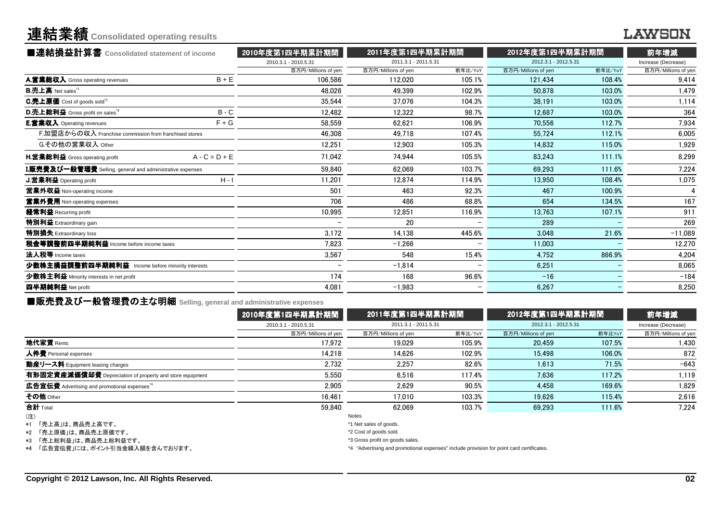| <b>A.営業総収入</b> Gross operating revenues                            | $B + E$         | 106,586                  | 112,020  | 105.1%                   | 121,434 | 108.4% | 9,414     |
|--------------------------------------------------------------------|-----------------|--------------------------|----------|--------------------------|---------|--------|-----------|
| <b>B.売上高</b> Net sales <sup>1</sup>                                |                 | 48,026                   | 49.399   | 102.9%                   | 50,878  | 103.0% | 1,479     |
| $C.E.L原価 Cost of goods sold*2$                                     |                 | 35,544                   | 37,076   | 104.3%                   | 38,191  | 103.0% | 1,114     |
| D.売上総利益 Gross profit on sales <sup>3</sup>                         | $B - C$         | 12,482                   | 12,322   | 98.7%                    | 12,687  | 103.0% | 364       |
| <b>E.営業収入</b> Operating revenues                                   | $F + G$         | 58,559                   | 62,621   | 106.9%                   | 70,556  | 112.7% | 7,934     |
| F.加盟店からの収入 Franchise commission from franchised stores             |                 | 46,308                   | 49,718   | 107.4%                   | 55,724  | 112.1% | 6,005     |
| G.その他の営業収入 Other                                                   |                 | 12,251                   | 12,903   | 105.3%                   | 14,832  | 115.0% | 1,929     |
| <b>H.営業総利益</b> Gross operating profit                              | $A - C = D + E$ | 71,042                   | 74,944   | 105.5%                   | 83,243  | 111.1% | 8,299     |
| ${\bf I}.$ 販売費及び一般管理費 Selling, general and administrative expenses |                 | 59,840                   | 62,069   | 103.7%                   | 69,293  | 111.6% | 7,224     |
| <b>J.営業利益</b> Operating profit                                     | $H - I$         | 11,201                   | 12.874   | 114.9%                   | 13.950  | 108.4% | 1,075     |
| 當業外収益 Non-operating income                                         |                 | 501                      | 463      | 92.3%                    | 467     | 100.9% |           |
| 営業外費用 Non-operating expenses                                       |                 | 706                      | 486      | 68.8%                    | 654     | 134.5% | 167       |
| 経常利益 Recurring profit                                              |                 | 10,995                   | 12,851   | 116.9%                   | 13.763  | 107.1% | 911       |
| 特別利益 Extraordinary gain                                            |                 | $\overline{\phantom{m}}$ | 20       | $\overline{\phantom{m}}$ | 289     |        | 269       |
| 特別損失 Extraordinary loss                                            |                 | 3,172                    | 14,138   | 445.6%                   | 3,048   | 21.6%  | $-11,089$ |
| 税金等調整前四半期純利益 Income before income taxes                            |                 | 7,823                    | $-1,266$ | $\overline{\phantom{0}}$ | 11,003  |        | 12,270    |
| 法人税等 Income taxes                                                  |                 | 3,567                    | 548      | 15.4%                    | 4,752   | 866.9% | 4,204     |
| 少数株主損益調整前四半期純利益 Income before minority interests                   |                 |                          | $-1,814$ | $\overline{\phantom{0}}$ | 6,251   |        | 8,065     |
| 少数株主利益 Minority interests in net profit                            |                 | 174                      | 168      | 96.6%                    | $-16$   |        | $-184$    |
| 四半期純利益 Net profit                                                  |                 | 4,081                    | $-1,983$ | $\overline{\phantom{m}}$ | 6,267   |        | 8,250     |
|                                                                    |                 |                          |          |                          |         |        |           |

■連結損益計算書 ■連結損益計算書**Consolidated statement of income** 2010年度第 2010年度第1四半期累計期間 1四半期累計期間 前年増減

2011年度第 2011年度第1四半期累計期間 1四半期累計期間2011.3.1 - 2011.5.31

2010.3.1 - 2010.5.31

 $B + E$ 

百万円/Millions of yen

## ■販売費及び一般管理費の主な明細 **Selling, general and administrative expenses**

|                                                          | 2012年度第1四半期累計期間<br>2011年度第1四半期累計期間<br>2010年度第1四半期累計期間 |                      | 前年増減    |                      |        |                     |
|----------------------------------------------------------|-------------------------------------------------------|----------------------|---------|----------------------|--------|---------------------|
|                                                          | 2010.3.1 - 2010.5.31                                  | 2011.3.1 - 2011.5.31 |         | 2012.3.1 - 2012.5.31 |        | Increase (Decrease) |
|                                                          | 百万円/Millions of yen                                   | 百万円/Millions of yen  | 前年比/YoY | 百万円/Millions of yen  | 前年比YoY | 百万円/Millions of yen |
| 地代家賃 Rents                                               | 17.972                                                | 19.029               | 105.9%  | 20.459               | 107.5% | 1,430               |
| 人件費 Personal expenses                                    | 14.218                                                | 14.626               | 102.9%  | 15.498               | 106.0% | 872                 |
| 動産リース料 Equipment leasing charges                         | 2,732                                                 | 2.257                | 82.6%   | 1.613                | 71.5%  | $-643$              |
| 有形固定資産減価償却費 Depreciation of property and store equipment | 5,550                                                 | 6.516                | 117.4%  | 7.636                | 117.2% | 1.119               |
| 広告宣伝費 Advertising and promotional expenses <sup>*4</sup> | 2,905                                                 | 2.629                | 90.5%   | 4.458                | 169.6% | 1,829               |
| その他 Other                                                | 16.461                                                | 17.010               | 103.3%  | 19.626               | 115.4% | 2.616               |
| 合計 Total                                                 | 59.840                                                | 62.069               | 103.7%  | 69.293               | 111.6% | 7.224               |
| (注)                                                      |                                                       | Notes                |         |                      |        |                     |

\*1「売上高」は、商品売上高です。

\*2 「売上原価」は、商品売上原価です。

\*3 「売上総利益」は、商品売上総利益です。

\*4 「広告宣伝費」には、ポイント引当金繰入額を含んでおります。

 \*1 Net sales of goods. \*1 Net sales of goods.

\*2 Cost of goods sold.

\*3 Gross profit on goods sales.

\*4 "Advertising and promotional expenses" include provision for point card certificates.

Increase (Decrease)

百万円/Millions of yen 前年比/YoY 百万円/Millions of yen 前年比/YoY 百万円/Millions of yen

2012年度第 2012年度第1四半期累計期間 1四半期累計期間2012.3.1 - 2012.5.31

連結業績**Consolidated operating results**

A.営業総収入 Gross operating revenues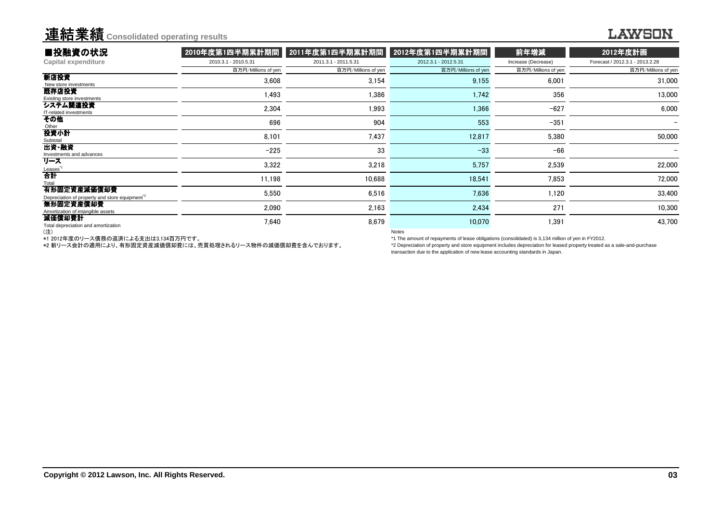| 連結業績 Consolidated operating results |  |  |
|-------------------------------------|--|--|
|                                     |  |  |

### **LAWSON**

| ■投融資の状況                                                                  | 2010年度第1四半期累計期間      | 2011年度第1四半期累計期間      | 2012年度第1四半期累計期間      | 前年増減                | 2012年度計画                        |
|--------------------------------------------------------------------------|----------------------|----------------------|----------------------|---------------------|---------------------------------|
| <b>Capital expenditure</b>                                               | 2010.3.1 - 2010.5.31 | 2011.3.1 - 2011.5.31 | 2012.3.1 - 2012.5.31 | Increase (Decrease) | Forecast / 2012.3.1 - 2013.2.28 |
|                                                                          | 百万円/Millions of yen  | 百万円/Millions of yen  | 百万円/Millions of yen  | 百万円/Millions of yen | 百万円/Millions of yen             |
| 新店投資<br>New store investments                                            | 3,608                | 3,154                | 9,155                | 6,001               | 31,000                          |
| 既存店投資<br>Existing store investments                                      | 1,493                | 1,386                | 1,742                | 356                 | 13,000                          |
| システム関連投資<br>IT-related investments                                       | 2,304                | 1,993                | 1,366                | $-627$              | 6,000                           |
| その他<br>Other                                                             | 696                  | 904                  | 553                  | $-351$              |                                 |
| 投資小計<br>Subtotal                                                         | 8,101                | 7,437                | 12,817               | 5,380               | 50,000                          |
| 出資·融資<br>Investments and advances                                        | $-225$               | 33                   | $-33$                | $-66$               |                                 |
| リース                                                                      | 3,322                | 3,218                | 5,757                | 2,539               | 22,000                          |
| <u>Leases"</u><br>合計<br>Total                                            | 11,198               | 10,688               | 18,541               | 7,853               | 72,000                          |
| 有形固定資産減価償却費<br>Depreciation of property and store equipment <sup>2</sup> | 5,550                | 6,516                | 7,636                | 1,120               | 33,400                          |
| 無形固定資産償却費<br>Amortization of intangible assets                           | 2,090                | 2,163                | 2,434                | 271                 | 10,300                          |
| 減価償却費計<br>Total depreciation and amortization                            | 7,640                | 8,679                | 10,070               | 1,391               | 43,700                          |
| (3)                                                                      |                      |                      | $N = 1 - 1$          |                     |                                 |

(注)

\*1 2012年度のリース債務の返済による支出は3,134百万円です。

\*2 新リース会計の適用により、有形固定資産減価償却費には、売買処理されるリース物件の減価償却費を含んでおります。

Notes\*1 The amount of repayments of lease obligations (consolidated) is 3,134 million of yen in FY2012.

 \*2 Depreciation of property and store equipment includes depreciation for leased property treated as a sale-and-purchasetransaction due to the application of new lease accounting standards in Japan.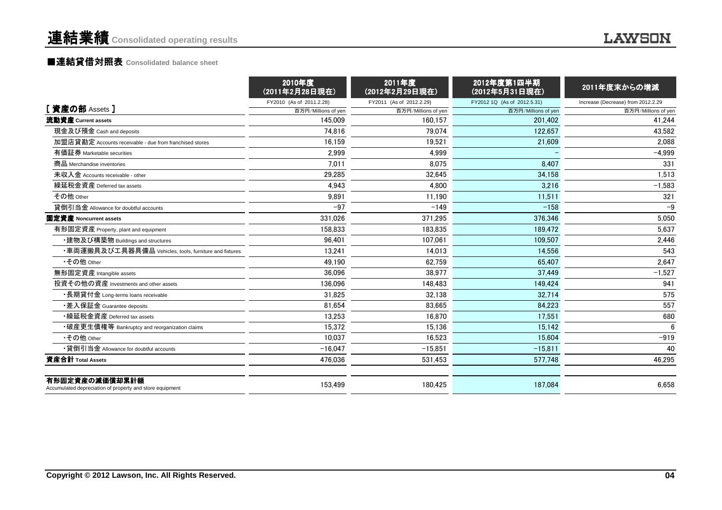### ■連結貸借対照表 Consolidated balance sheet

|                                                                            | 2010年度<br>(2011年2月28日現在) | 2011年度<br>(2012年2月29日現在) | 2012年度第1四半期<br>(2012年5月31日現在) | 2011年度末からの増減                       |
|----------------------------------------------------------------------------|--------------------------|--------------------------|-------------------------------|------------------------------------|
|                                                                            | FY2010 (As of 2011.2.28) | FY2011 (As of 2012.2.29) | FY2012 1Q (As of 2012.5.31)   | Increase (Decrease) from 2012.2.29 |
| [資産の部 Assets]                                                              | 百万円/Millions of yen      | 百万円/Millions of yen      | 百万円/Millions of yer           | 百万円/Millions of yen                |
| 流動資産 Current assets                                                        | 145.009                  | 160.157                  | 201.402                       | 41,244                             |
| 現金及び預金 Cash and deposits                                                   | 74,816                   | 79.074                   | 122.657                       | 43,582                             |
| 加盟店貸勘定 Accounts receivable - due from franchised stores                    | 16,159                   | 19,521                   | 21,609                        | 2,088                              |
| 有価証券 Marketable securities                                                 | 2,999                    | 4,999                    |                               | $-4,999$                           |
| 商品 Merchandise inventories                                                 | 7,011                    | 8,075                    | 8.407                         | 331                                |
| 未収入金 Accounts receivable - other                                           | 29,285                   | 32,645                   | 34,158                        | 1.513                              |
| 繰延税金資産 Deferred tax assets                                                 | 4.943                    | 4.800                    | 3.216                         | $-1,583$                           |
| その他 Other                                                                  | 9.891                    | 11.190                   | 11.511                        | 321                                |
| 貸倒引当金 Allowance for doubtful accounts                                      | $-97$                    | $-149$                   | $-158$                        | $-9$                               |
| 固定資産 Noncurrent assets                                                     | 331,026                  | 371,295                  | 376,346                       | 5,050                              |
| 有形固定資産 Property, plant and equipment                                       | 158.833                  | 183,835                  | 189,472                       | 5,637                              |
| ・建物及び構築物 Buildings and structures                                          | 96.401                   | 107.061                  | 109.507                       | 2,446                              |
| ・車両運搬具及び工具器具備品 Vehicles, tools, furniture and fixtures                     | 13,241                   | 14,013                   | 14,556                        | 543                                |
| •その他 Other                                                                 | 49.190                   | 62.759                   | 65.407                        | 2,647                              |
| 無形固定資産 Intangible assets                                                   | 36,096                   | 38,977                   | 37,449                        | $-1,527$                           |
| 投資その他の資産 Investments and other assets                                      | 136.096                  | 148.483                  | 149.424                       | 941                                |
| ・長期貸付金 Long-terms loans receivable                                         | 31,825                   | 32.138                   | 32.714                        | 575                                |
| •差入保証金 Guarantee deposits                                                  | 81,654                   | 83,665                   | 84,223                        | 557                                |
| •繰延税金資産 Deferred tax assets                                                | 13.253                   | 16.870                   | 17.551                        | 680                                |
| •破産更生債権等 Bankruptcy and reorganization claims                              | 15,372                   | 15.136                   | 15.142                        | 6                                  |
| •その他 Other                                                                 | 10.037                   | 16.523                   | 15.604                        | $-919$                             |
| •貸倒引当金 Allowance for doubtful accounts                                     | $-16,047$                | $-15,851$                | $-15,811$                     | 40                                 |
| 資産合計 Total Assets                                                          | 476,036                  | 531,453                  | 577,748                       | 46,295                             |
| 有形固定資産の減価償却累計額<br>Accumulated depreciation of property and store equipment | 153.499                  | 180.425                  | 187.084                       | 6,658                              |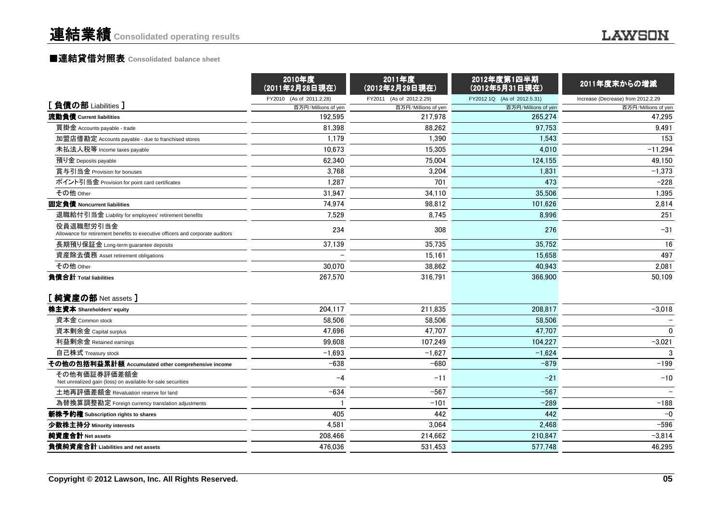### ■連結貸借対照表 Consolidated balance sheet

|                                                                                             | 2010年度<br>(2011年2月28日現在)       | 2011年度<br>(2012年2月29日現在)       | 2012年度第1四半期<br>(2012年5月31日現在)  | 2011年度末からの増減                       |
|---------------------------------------------------------------------------------------------|--------------------------------|--------------------------------|--------------------------------|------------------------------------|
| [負債の部 Liabilities]                                                                          | FY2010 (As of 2011.2.28)       | FY2011 (As of 2012.2.29)       | FY2012 1Q (As of 2012.5.31)    | Increase (Decrease) from 2012.2.29 |
| 流動負債 Current liabilities                                                                    | 百万円/Millions of yen<br>192,595 | 百万円/Millions of yen<br>217,978 | 百万円/Millions of yen<br>265,274 | 百万円/Millions of yen<br>47,295      |
| 買掛金 Accounts payable - trade                                                                | 81,398                         | 88,262                         | 97.753                         | 9,491                              |
| 加盟店借勘定 Accounts payable - due to franchised stores                                          | 1.179                          | 1,390                          | 1.543                          | 153                                |
| 未払法人税等 Income taxes payable                                                                 | 10,673                         | 15,305                         | 4,010                          | $-11,294$                          |
| 預り金 Deposits payable                                                                        | 62,340                         | 75,004                         | 124,155                        | 49,150                             |
| 賞与引当金 Provision for bonuses                                                                 | 3,768                          | 3,204                          | 1,831                          | $-1,373$                           |
| ポイント引当金 Provision for point card certificates                                               | 1,287                          | 701                            | 473                            | $-228$                             |
| その他 Other                                                                                   | 31,947                         | 34,110                         | 35,506                         | 1,395                              |
| 固定負債 Noncurrent liabilities                                                                 | 74,974                         | 98,812                         | 101.626                        | 2,814                              |
| 退職給付引当金 Liability for employees' retirement benefits                                        | 7,529                          | 8,745                          | 8,996                          | 251                                |
| 役員退職慰労引当金<br>Allowance for retirement benefits to executive officers and corporate auditors | 234                            | 308                            | 276                            | $-31$                              |
| 長期預り保証金 Long-term guarantee deposits                                                        | 37,139                         | 35,735                         | 35,752                         | 16                                 |
| 資産除去債務 Asset retirement obligations                                                         |                                | 15,161                         | 15,658                         | 497                                |
| その他 Other                                                                                   | 30,070                         | 38,862                         | 40,943                         | 2,081                              |
| 負債合計 Total liabilities                                                                      | 267,570                        | 316,791                        | 366,900                        | 50,109                             |
| [純資産の部 Net assets]                                                                          |                                |                                |                                |                                    |
| 株主資本 Shareholders' equity                                                                   | 204,117                        | 211,835                        | 208.817                        | $-3,018$                           |
| 資本金 Common stock                                                                            | 58,506                         | 58,506                         | 58,506                         |                                    |
| 資本剰余金 Capital surplus                                                                       | 47.696                         | 47.707                         | 47.707                         | $\Omega$                           |
| 利益剰余金 Retained earnings                                                                     | 99,608                         | 107,249                        | 104,227                        | $-3,021$                           |
| 自己株式 Treasury stock                                                                         | $-1,693$                       | $-1,627$                       | $-1,624$                       | 3                                  |
| その他の包括利益累計額 Accumulated other comprehensive income                                          | $-638$                         | $-680$                         | $-879$                         | $-199$                             |
| その他有価証券評価差額金<br>Net unrealized gain (loss) on available-for-sale securities                 | $-4$                           | $-11$                          | $-21$                          | $-10$                              |
| 土地再評価差額金 Revaluation reserve for land                                                       | $-634$                         | $-567$                         | $-567$                         |                                    |
| 為替換算調整勘定 Foreign currency translation adjustments                                           |                                | $-101$                         | $-289$                         | $-188$                             |
| 新株予約権 Subscription rights to shares                                                         | 405                            | 442                            | 442                            | $-0$                               |
| 少数株主持分 Minority interests                                                                   | 4,581                          | 3,064                          | 2,468                          | $-596$                             |
| 純資産合計 Net assets                                                                            | 208,466                        | 214,662                        | 210,847                        | $-3,814$                           |
| 負債純資産合計 Liabilities and net assets                                                          | 476,036                        | 531,453                        | 577,748                        | 46,295                             |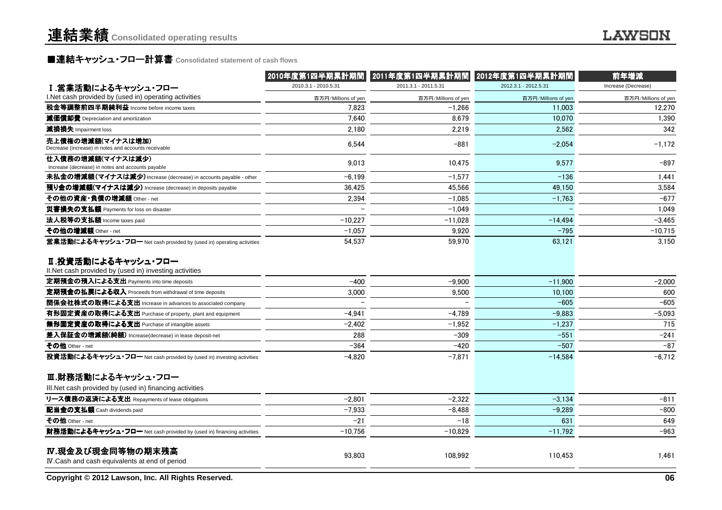# ■連結キャッシュ・フロー計算書 Consolidated statement of cash flows<br>————————————————————

|                                                                                                                           | 2010年度第1四半期累計期間      | 2011年度第1四半期累計期間      | 2012年度第1四半期累計期間      | 前年増減                |
|---------------------------------------------------------------------------------------------------------------------------|----------------------|----------------------|----------------------|---------------------|
| Ⅰ.営業活動によるキャッシュ・フロー                                                                                                        | 2010.3.1 - 2010.5.31 | 2011.3.1 - 2011.5.31 | 2012.3.1 - 2012.5.31 | Increase (Decrease) |
| I. Net cash provided by (used in) operating activities                                                                    | 百万円/Millions of yen  | 百万円/Millions of yen  | 百万円/Millions of yen  | 百万円/Millions of yen |
| <b>税金等調整前四半期純利益</b> Income before income taxes                                                                            | 7.823                | $-1.266$             | 11.003               | 12.270              |
| 減価償却費 Depreciation and amortization                                                                                       | 7.640                | 8,679                | 10,070               | 1,390               |
| 減損損失 Impairment loss                                                                                                      | 2.180                | 2.219                | 2.562                | 342                 |
| 売上債権の増減額(マイナスは増加)<br>Decrease (increase) in notes and accounts receivable                                                 | 6,544                | $-881$               | $-2,054$             | $-1,172$            |
| 仕入債務の増減額(マイナスは減少)<br>Increase (decrease) in notes and accounts payable                                                    | 9.013                | 10.475               | 9.577                | $-897$              |
| 未払金の増減額(マイナスは減少) Increase (decrease) in accounts payable - other                                                          | $-6,199$             | $-1,577$             | $-136$               | 1,441               |
| 預り金の増減額(マイナスは減少) Increase (decrease) in deposits payable                                                                  | 36.425               | 45,566               | 49,150               | 3,584               |
| その他の資産·負債の増減額 Other - net                                                                                                 | 2,394                | $-1,085$             | $-1,763$             | $-677$              |
| 災害損失の支払額 Payments for loss on disaster                                                                                    |                      | $-1,049$             |                      | 1,049               |
| 法人税等の支払額 Income taxes paid                                                                                                | $-10.227$            | $-11.028$            | $-14,494$            | $-3,465$            |
| その他の増減額 Other - net                                                                                                       | $-1,057$             | 9,920                | $-795$               | $-10,715$           |
| 営業活動によるキャッシュ・フロー Net cash provided by (used in) operating activities                                                      | 54,537               | 59,970               | 63,121               | 3.150               |
| Ⅱ.投資活動によるキャッシュ・フロー<br>II. Net cash provided by (used in) investing activities<br>定期預金の預入による支出 Payments into time deposits |                      |                      |                      |                     |
| 定期預金の払戻による収入 Proceeds from withdrawal of time deposits                                                                    | $-400$               | $-9.900$             | $-11,900$            | $-2,000$            |
| 関係会社株式の取得による支出 Increase in advances to associated company                                                                 | 3.000                | 9,500                | 10.100<br>$-605$     | 600<br>$-605$       |
| 有形固定資産の取得による支出 Purchase of property, plant and equipment                                                                  | -4,941               | $-4,789$             | $-9,883$             | $-5,093$            |
| 無形固定資産の取得による支出 Purchase of intangible assets                                                                              | $-2.402$             | $-1.952$             | $-1,237$             | 715                 |
| 差入保証金の増減額(純額) Increase(decrease) in lease deposit-net                                                                     | 288                  | $-309$               | $-551$               | $-241$              |
| その他 Other - net                                                                                                           | $-364$               | $-420$               | $-507$               | $-87$               |
| 投資活動によるキャッシュ・フロー Net cash provided by (used in) investing activities                                                      | $-4.820$             | $-7,871$             | $-14,584$            | $-6,712$            |
| Ⅲ.財務活動によるキャッシュ・フロー<br>III. Net cash provided by (used in) financing activities                                            |                      |                      |                      |                     |
| リース債務の返済による支出 Repayments of lease obligations                                                                             | $-2.801$             | $-2.322$             | $-3.134$             | $-811$              |
| 配当金の支払額 Cash dividends paid                                                                                               | $-7.933$             | $-8.488$             | $-9.289$             | $-800$              |
| その他 Other - net                                                                                                           | $-21$                | $-18$                | 631                  | 649                 |
| 財務活動によるキャッシュ・フロー Net cash provided by (used in) financing activities                                                      | $-10.756$            | $-10.829$            | $-11,792$            | $-963$              |
|                                                                                                                           |                      |                      |                      |                     |
| IV.現金及び現金同等物の期末残高<br>IV. Cash and cash equivalents at end of period                                                       | 93,803               | 108,992              | 110,453              | 1,461               |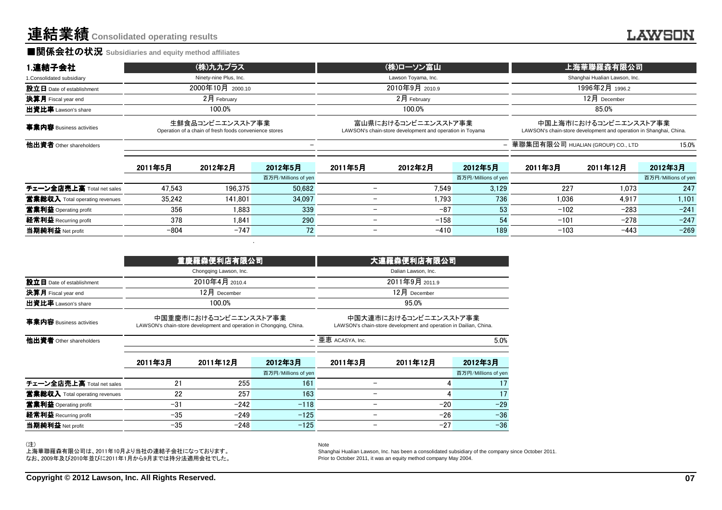連結業績**Consolidated operating results**

### ■関係会社の状況 **Subsidiaries and equity method affiliates**

| 1.連結子会社                    | (株)九九プラス                                                                   | (株)ローソン富山                                                                       | 上海華聯羅森有限公司 ៉                                                                                |
|----------------------------|----------------------------------------------------------------------------|---------------------------------------------------------------------------------|---------------------------------------------------------------------------------------------|
| 1. Consolidated subsidiary | Ninety-nine Plus, Inc.                                                     | Lawson Toyama, Inc.                                                             | Shanghai Hualian Lawson, Inc.                                                               |
| 設立日 Date of establishment  | 2000年10月 2000.10                                                           | 2010年9月 2010.9                                                                  | 1996年2月 1996.2                                                                              |
| 決算月 Fiscal year end        | $2$ 月 February                                                             | $2$ 月 February                                                                  | $12月$ December                                                                              |
| <b>出資比率</b> Lawson's share | 100.0%                                                                     | 100.0%                                                                          | 85.0%                                                                                       |
| 事業内容 Business activities   | 生鮮食品コンビニエンスストア事業<br>Operation of a chain of fresh foods convenience stores | 富山県におけるコンビニエンスストア事業<br>LAWSON's chain-store development and operation in Toyama | 中国上海市におけるコンビニエンスストア事業<br>LAWSON's chain-store development and operation in Shanghai, China. |
| 他出資者 Other shareholders    | $\overline{\phantom{m}}$                                                   |                                                                                 | - 華聯集団有限公司 HUALIAN (GROUP) CO., LTD<br>15.0%                                                |

|                                | 2011年5月 | 2012年2月 | 2012年5月             | 2011年5月 | 2012年2月 | 2012年5月             | 2011年3月 | 2011年12月 | 2012年3月             |
|--------------------------------|---------|---------|---------------------|---------|---------|---------------------|---------|----------|---------------------|
|                                |         |         | 百万円/Millions of yen |         |         | 百万円/Millions of yen |         |          | 百万円/Millions of yen |
| チェーン全店売上高 Total net sales      | 47.543  | 196.375 | 50.682              |         | 7.549   | 3.129               | 227     | 1.073    | 247                 |
| 當業総収入 Total operating revenues | 35.242  | 141.801 | 34.097              |         | 1.793   | 736                 | 1,036   | 4.917    | 1,101               |
| 営業利益 Operating profit          | 356     | 1,883   | 339                 |         | $-87$   | 53                  | $-102$  | $-283$   | $-241$              |
| 経常利益 Recurring profit          | 378     | 1.841   | 290                 |         | $-158$  | 54                  | $-101$  | $-278$   | $-247$              |
| 当期純利益 Net profit               | $-804$  | $-747$  | 72                  |         | $-410$  | 189                 | $-103$  | $-443$   | $-269$              |

|                                |         | 重慶羅森便利店有限公司                                                                                  |                     | 大連羅森便利店有限公司                                                                                |              |                     |  |  |
|--------------------------------|---------|----------------------------------------------------------------------------------------------|---------------------|--------------------------------------------------------------------------------------------|--------------|---------------------|--|--|
|                                |         | Chongqing Lawson, Inc.                                                                       |                     | Dalian Lawson, Inc.                                                                        |              |                     |  |  |
| 設立日 Date of establishment      |         | 2010年4月 2010.4                                                                               |                     | 2011年9月 2011.9                                                                             |              |                     |  |  |
| 決算月 Fiscal year end            |         | 12月 December                                                                                 |                     |                                                                                            | 12月 December |                     |  |  |
| 出資比率 Lawson's share            |         | 100.0%                                                                                       |                     | 95.0%                                                                                      |              |                     |  |  |
| 事業内容 Business activities       |         | 中国重慶市におけるコンビニエンスストア事業<br>LAWSON's chain-store development and operation in Chongqing, China. |                     | 中国大連市におけるコンビニエンスストア事業<br>LAWSON's chain-store development and operation in Dailian, China. |              |                     |  |  |
| 他出資者 Other shareholders        |         |                                                                                              |                     | 亜恵 ACASYA. Inc.                                                                            |              | 5.0%                |  |  |
|                                | 2011年3月 | 2011年12月                                                                                     | 2012年3月             | 2011年3月                                                                                    | 2011年12月     | 2012年3月             |  |  |
|                                |         |                                                                                              | 百万円/Millions of yen |                                                                                            |              | 百万円/Millions of yen |  |  |
| チェーン全店売上高 Total net sales      | 21      | 255                                                                                          | 161                 |                                                                                            | 4            | 17                  |  |  |
| 営業総収入 Total operating revenues | 22      | 257                                                                                          | 163                 |                                                                                            | 4            | 17                  |  |  |
| 営業利益 Operating profit          | $-31$   | $-242$                                                                                       | $-118$              |                                                                                            | $-20$        | $-29$               |  |  |
| 経常利益 Recurring profit          | $-35$   | $-249$                                                                                       | $-125$              |                                                                                            | $-26$        | $-36$               |  |  |
| 当期純利益 Net profit               | $-35$   | $-248$                                                                                       | $-125$              |                                                                                            | $-27$        | $-36$               |  |  |

(注)

 上海華聯羅森有限公司は、2011年10月より当社の連結子会社になっております。なお、2009年及び2010年並びに2011年1月から9月までは持分法適用会社でした。 Note Shanghai Hualian Lawson, Inc. has been a consolidated subsidiary of the company since October 2011.Prior to October 2011, it was an equity method company May 2004.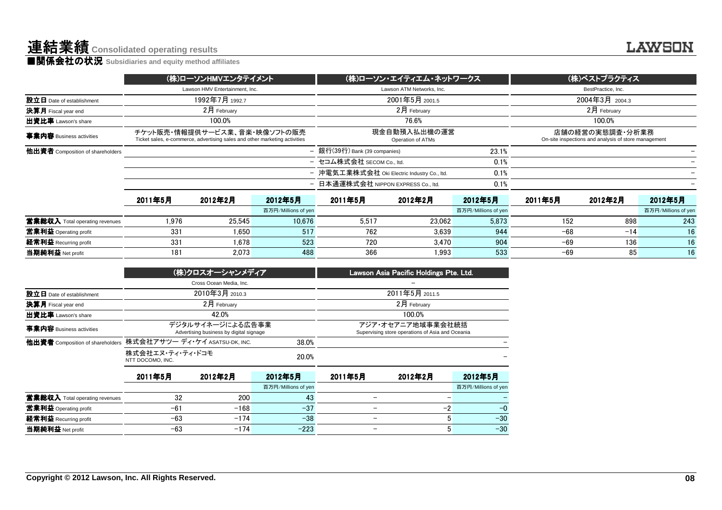|                                  |                | (株)ローソンHMVエンタテイメント                                                                                         |                     |                                                                                                    | (株)ローソン・エイティエム・ネットワークス    |                     | (株)ベストプラクティス                                                            |               |                     |
|----------------------------------|----------------|------------------------------------------------------------------------------------------------------------|---------------------|----------------------------------------------------------------------------------------------------|---------------------------|---------------------|-------------------------------------------------------------------------|---------------|---------------------|
|                                  |                | Lawson HMV Entertainment, Inc.                                                                             |                     |                                                                                                    | Lawson ATM Networks, Inc. |                     | BestPractice, Inc.                                                      |               |                     |
| 設立日 Date of establishment        |                | 1992年7月 1992.7                                                                                             |                     |                                                                                                    | 2001年5月 2001.5            |                     | 2004年3月 2004.3                                                          |               |                     |
| 決算月 Fiscal year end              | $2$ 月 February |                                                                                                            |                     |                                                                                                    | $2$ 月 February            |                     |                                                                         | $2月$ February |                     |
| 出資比率 Lawson's share              | 100.0%         |                                                                                                            |                     | 76.6%                                                                                              |                           |                     |                                                                         | 100.0%        |                     |
| 事業内容 Business activities         |                | チケット販売・情報提供サービス業、音楽・映像ソフトの販売<br>Ticket sales, e-commerce, advertising sales and other marketing activities |                     | 現金自動預入払出機の運営<br>Operation of ATMs                                                                  |                           |                     | 店舗の経営の実態調査・分析業務<br>On-site inspections and analysis of store management |               |                     |
| 他出資者 Composition of shareholders |                |                                                                                                            |                     | - 銀行(39行) Bank (39 companies)<br>23.1%                                                             |                           |                     |                                                                         |               |                     |
|                                  |                |                                                                                                            |                     | - セコム株式会社 SECOM Co., ltd.                                                                          |                           | 0.1%                |                                                                         |               |                     |
|                                  |                |                                                                                                            |                     | - 沖電気工業株式会社 Oki Electric Industry Co., Itd.<br>0.1%<br>- 日本通運株式会社 NIPPON EXPRESS Co., ltd.<br>0.1% |                           |                     |                                                                         |               |                     |
|                                  |                |                                                                                                            |                     |                                                                                                    |                           |                     |                                                                         |               |                     |
|                                  | 2011年5月        | 2012年2月                                                                                                    | 2012年5月             | 2011年5月                                                                                            | 2012年2月                   | 2012年5月             | 2011年5月                                                                 | 2012年2月       | 2012年5月             |
|                                  |                |                                                                                                            | 百万円/Millions of yen |                                                                                                    |                           | 百万円/Millions of yen |                                                                         |               | 百万円/Millions of yen |
| 営業総収入 Total operating revenues   | 1.976          | 25.545                                                                                                     | 10.676              | 5,517                                                                                              | 23.062                    | 5,873               | 152                                                                     | 898           | 243                 |
| 當業利益 Operating profit            | 331            | 1.650                                                                                                      | 517                 | 762                                                                                                | 3.639                     | 944                 | $-68$                                                                   | $-14$         | 16                  |
| 経常利益 Recurring profit            | 331            | 1.678                                                                                                      | 523                 | 720                                                                                                | 3.470                     | 904                 | $-69$                                                                   | 136           | 16                  |
| 当期純利益 Net profit                 | 181            | 2.073                                                                                                      | 488                 | 366                                                                                                | 1.993                     | 533                 | $-69$                                                                   | 85            | 16                  |

t 181 2,073 488 366 1,993 533 -69 85 85 16

|                                                                 |                  | (株)クロスオーシャンメディア                                             |                     |                                                                       | Lawson Asia Pacific Holdings Pte. Ltd. |                     |  |  |
|-----------------------------------------------------------------|------------------|-------------------------------------------------------------|---------------------|-----------------------------------------------------------------------|----------------------------------------|---------------------|--|--|
|                                                                 |                  | Cross Ocean Media, Inc.                                     |                     |                                                                       |                                        |                     |  |  |
| 設立日 Date of establishment                                       |                  | 2010年3月 2010.3                                              |                     |                                                                       | 2011年5月 2011.5                         |                     |  |  |
| 決算月 Fiscal year end                                             |                  | 2月 February                                                 |                     |                                                                       | $2月$ February                          |                     |  |  |
| 出資比率 Lawson's share                                             |                  | 42.0%                                                       |                     |                                                                       | 100.0%                                 |                     |  |  |
| 事業内容 Business activities                                        |                  | デジタルサイネージによる広告事業<br>Advertising business by digital signage |                     | アジア・オセアニア地域事業会社統括<br>Supervising store operations of Asia and Oceania |                                        |                     |  |  |
| 他出資者 Composition of shareholders 株式会社アサツー ディ・ケイ ASATSU-DK, INC. |                  |                                                             | 38.0%               |                                                                       |                                        |                     |  |  |
|                                                                 | NTT DOCOMO, INC. | 株式会社エヌ・ティ・ティ・ドコモ<br>20.0%                                   |                     |                                                                       |                                        |                     |  |  |
|                                                                 | 2011年5月          | 2012年2月                                                     | 2012年5月             | 2011年5月                                                               | 2012年2月                                | 2012年5月             |  |  |
|                                                                 |                  |                                                             | 百万円/Millions of yen |                                                                       |                                        | 百万円/Millions of yen |  |  |
| <b>営業総収入</b> Total operating revenues                           | 32               | 200                                                         | 43                  |                                                                       |                                        |                     |  |  |
| 営業利益 Operating profit                                           | $-61$            | $-168$                                                      | $-37$               |                                                                       | $-2$                                   | $-0$                |  |  |
| 経常利益 Recurring profit                                           | $-63$            | $-174$                                                      | $-38$               | $\overline{\phantom{0}}$                                              | 5                                      | $-30$               |  |  |
| 当期純利益 Net profit                                                | $-63$            | $-174$                                                      | $-223$              | $\overline{\phantom{0}}$                                              | 5                                      | $-30$               |  |  |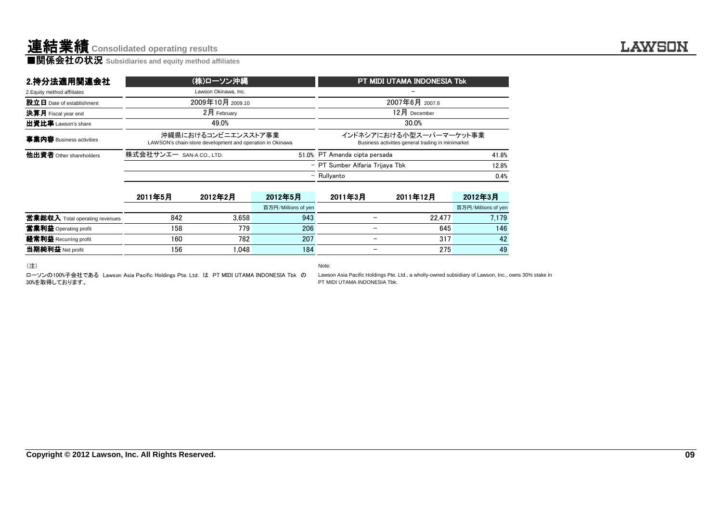| 2.持分法適用関連会社                                                                                                    |                          | (株)ローソン沖縄                                                                        |                     | PT MIDI UTAMA INDONESIA Tbk                                                  |                                                                                    |                     |  |  |
|----------------------------------------------------------------------------------------------------------------|--------------------------|----------------------------------------------------------------------------------|---------------------|------------------------------------------------------------------------------|------------------------------------------------------------------------------------|---------------------|--|--|
| 2. Equity method affiliates                                                                                    |                          | Lawson Okinawa, Inc.                                                             |                     |                                                                              |                                                                                    |                     |  |  |
| 設立日 Date of establishment                                                                                      |                          | 2009年10月 2009.10                                                                 |                     | 2007年6月 2007.6                                                               |                                                                                    |                     |  |  |
| 決算月 Fiscal year end                                                                                            |                          | 2月 February                                                                      |                     |                                                                              | 12月 December                                                                       |                     |  |  |
| 出資比率 Lawson's share                                                                                            |                          | 49.0%                                                                            |                     |                                                                              | 30.0%                                                                              |                     |  |  |
| 事業内容 Business activities                                                                                       |                          | 沖縄県におけるコンビニエンスストア事業<br>LAWSON's chain-store development and operation in Okinawa |                     | インドネシアにおける小型スーパーマーケット事業<br>Business activities general trading in minimarket |                                                                                    |                     |  |  |
| 他出資者 Other shareholders                                                                                        | 株式会社サンエー SAN-A CO., LTD. |                                                                                  |                     | 51.0% PT Amanda cipta persada                                                | 41.8%                                                                              |                     |  |  |
|                                                                                                                |                          |                                                                                  |                     | - PT Sumber Alfaria Trijaya Tbk                                              |                                                                                    | 12.8%               |  |  |
|                                                                                                                |                          |                                                                                  |                     | - Rullyanto                                                                  |                                                                                    | 0.4%                |  |  |
|                                                                                                                |                          |                                                                                  |                     |                                                                              |                                                                                    |                     |  |  |
|                                                                                                                | 2011年5月                  | 2012年2月                                                                          | 2012年5月             | 2011年3月                                                                      | 2011年12月                                                                           | 2012年3月             |  |  |
|                                                                                                                |                          |                                                                                  | 百万円/Millions of yen |                                                                              |                                                                                    | 百万円/Millions of yen |  |  |
| 営業総収入 Total operating revenues                                                                                 | 842                      | 3.658                                                                            | 943                 | —                                                                            | 22,477                                                                             | 7,179               |  |  |
| 営業利益 Operating profit                                                                                          | 158                      | 779                                                                              | 206                 |                                                                              | 645                                                                                | 146                 |  |  |
| 経常利益 Recurring profit                                                                                          | 160                      | 782                                                                              | 207                 | $\overline{\phantom{m}}$                                                     | 317                                                                                | 42                  |  |  |
| 当期純利益 Net profit                                                                                               | 156                      | 1.048                                                                            | 184                 | $\overline{\phantom{m}}$                                                     | 275                                                                                | 49                  |  |  |
| (注)<br>ローソンの100%子会社である Lawson Asia Pacific Holdings Pte. Ltd. は PT MIDI UTAMA INDONESIA Tbk の<br>30%を取得しております。 |                          |                                                                                  |                     | Note:<br>PT MIDI UTAMA INDONESIA Tbk.                                        | Lawson Asia Pacific Holdings Pte. Ltd., a wholly-owned subsidiary of Lawson, Inc., |                     |  |  |

Lawson Asia Pacific Holdings Pte. Ltd., a wholly-owned subsidiary of Lawson, Inc., owns 30% stake inPT MIDI UTAMA INDONESIA Tbk.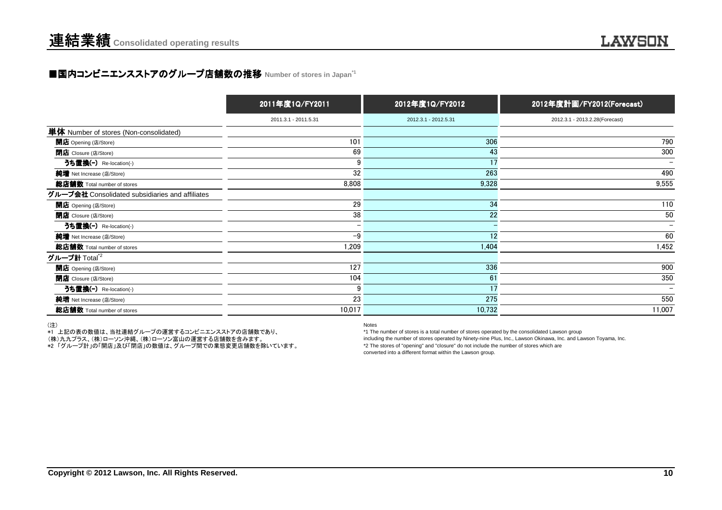# ■国内コンビニエンスストアのグループ店舗数の推移 Number of stores in Japan<sup>\*1</sup>

|                                                 | 2011年度1Q/FY2011      | 2012年度1Q/FY2012      | 2012年度計画/FY2012(Forecast)      |
|-------------------------------------------------|----------------------|----------------------|--------------------------------|
|                                                 | 2011.3.1 - 2011.5.31 | 2012.3.1 - 2012.5.31 | 2012.3.1 - 2013.2.28(Forecast) |
| 単体 Number of stores (Non-consolidated)          |                      |                      |                                |
| 開店 Opening (店/Store)                            | 101                  | 306                  | 790                            |
| <b>閉店</b> Closure (店/Store)                     | 69                   | 43                   | 300                            |
| うち置換(-) Re-location(-)                          | 9                    | 17                   | $\overline{\phantom{a}}$       |
| 純増 Net Increase (店/Store)                       | 32                   | 263                  | 490                            |
| 総店舗数 Total number of stores                     | 8,808                | 9,328                | 9,555                          |
| グループ会社 Consolidated subsidiaries and affiliates |                      |                      |                                |
| 開店 Opening (店/Store)                            | 29                   | 34                   | 110                            |
| <b>閉店</b> Closure (店/Store)                     | 38                   | 22                   | 50                             |
| うち置換(-) Re-location(-)                          |                      |                      | $\overline{\phantom{0}}$       |
| 純増 Net Increase (店/Store)                       | $-9$                 | 12                   | 60                             |
| 総店舗数 Total number of stores                     | 1,209                | 1,404                | 1,452                          |
| グループ計 Total $^{\star 2}$                        |                      |                      |                                |
| 開店 Opening (店/Store)                            | 127                  | 336                  | 900                            |
| <b>閉店</b> Closure (店/Store)                     | 104                  | 61                   | 350                            |
| うち置換(-) Re-location(-)                          | 9                    | 17                   | $\qquad \qquad$                |
| 純増 Net Increase (店/Store)                       | 23                   | 275                  | 550                            |
| 総店舗数 Total number of stores                     | 10,017               | 10,732               | 11,007                         |

(注)

\*1 上記の表の数値は、当社連結グループの運営するコンビニエンスストアの店舗数であり、

(株)九九プラス、(株)ローソン沖縄、(株)ローソン富山の運営する店舗数を含みます。

\*2 「グループ計」の「開店」及び「閉店」の数値は、グループ間での業態変更店舗数を除いています。

Notes

 \*1 The number of stores is a total number of stores operated by the consolidated Lawson group including the number of stores operated by Ninety-nine Plus, Inc., Lawson Okinawa, Inc. and Lawson Toyama, Inc.\*2 The stores of "opening" and "closure" do not include the number of stores which areconverted into a different format within the Lawson group.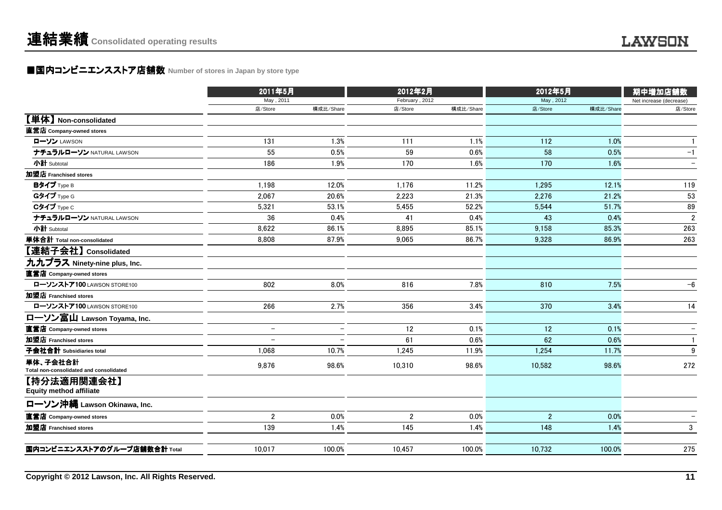# ■国内コンビニエンスストア店舗数 Number of stores in Japan by store type

|                                                     | 2011年5月                  |           | 2012年2月                 |           | 2012年5月        |           | 期中増加店舗数                 |
|-----------------------------------------------------|--------------------------|-----------|-------------------------|-----------|----------------|-----------|-------------------------|
|                                                     | May, 2011                |           | February, 2012          |           | May, 2012      |           | Net increase (decrease) |
|                                                     | 店/Store                  | 構成比/Share | 店/Store                 | 構成比/Share | 店/Store        | 構成比/Share | 店/Store                 |
| 【単体】 Non-consolidated                               |                          |           |                         |           |                |           |                         |
| 直営店 Company-owned stores                            |                          |           |                         |           |                |           |                         |
| ローソン LAWSON                                         | 131                      | 1.3%      | 111                     | 1.1%      | 112            | 1.0%      | $\mathbf{1}$            |
| ナチュラルローソン NATURAL LAWSON                            | 55                       | 0.5%      | 59                      | 0.6%      | 58             | 0.5%      | $-1$                    |
| 小計 Subtotal                                         | 186                      | 1.9%      | 170                     | 1.6%      | 170            | 1.6%      | $\qquad \qquad -$       |
| 加盟店 Franchised stores                               |                          |           |                         |           |                |           |                         |
| Bタイプ Type B                                         | 1,198                    | 12.0%     | 1,176                   | 11.2%     | 1,295          | 12.1%     | 119                     |
| Gタイプ Type G                                         | 2,067                    | 20.6%     | 2,223                   | 21.3%     | 2,276          | 21.2%     | 53                      |
| Cタイプ Type C                                         | 5,321                    | 53.1%     | 5,455                   | 52.2%     | 5,544          | 51.7%     | 89                      |
| ナチュラルローソン NATURAL LAWSON                            | 36                       | 0.4%      | 41                      | 0.4%      | 43             | 0.4%      | $\boldsymbol{2}$        |
| 小計 Subtotal                                         | 8,622                    | 86.1%     | 8,895                   | 85.1%     | 9,158          | 85.3%     | 263                     |
| 単体合計 Total non-consolidated                         | 8,808                    | 87.9%     | 9,065                   | 86.7%     | 9,328          | 86.9%     | 263                     |
| 【連結子会社】 Consolidated                                |                          |           |                         |           |                |           |                         |
| 九九プラス Ninety-nine plus, Inc.                        |                          |           |                         |           |                |           |                         |
| 直営店 Company-owned stores                            |                          |           |                         |           |                |           |                         |
| ローソンストア100 LAWSON STORE100                          | 802                      | 8.0%      | 816                     | 7.8%      | 810            | 7.5%      | $-6$                    |
| 加盟店 Franchised stores                               |                          |           |                         |           |                |           |                         |
| ローソンストア100 LAWSON STORE100                          | 266                      | 2.7%      | 356                     | 3.4%      | 370            | 3.4%      | 14                      |
| ローソン富山 Lawson Toyama, Inc.                          |                          |           |                         |           |                |           |                         |
| 直営店 Company-owned stores                            | $\overline{\phantom{m}}$ |           | 12                      | 0.1%      | 12             | 0.1%      |                         |
| 加盟店 Franchised stores                               |                          |           | 61                      | 0.6%      | 62             | 0.6%      | $\mathbf{1}$            |
| 子会社合計 Subsidiaries total                            | 1,068                    | 10.7%     | 1,245                   | 11.9%     | 1,254          | 11.7%     | 9                       |
| 単体、子会社合計<br>Total non-consolidated and consolidated | 9,876                    | 98.6%     | 10,310                  | 98.6%     | 10,582         | 98.6%     | 272                     |
| 【持分法適用関連会社】<br><b>Equity method affiliate</b>       |                          |           |                         |           |                |           |                         |
| ローソン沖縄 Lawson Okinawa, Inc.                         |                          |           |                         |           |                |           |                         |
| 直営店 Company-owned stores                            | $\overline{2}$           | 0.0%      | $\overline{\mathbf{c}}$ | 0.0%      | $\overline{2}$ | 0.0%      |                         |
| 加盟店 Franchised stores                               | 139                      | 1.4%      | 145                     | 1.4%      | 148            | 1.4%      | 3                       |
| 国内コンビニエンスストアのグループ店舗数合計 Total                        | 10.017                   | 100.0%    | 10.457                  | 100.0%    | 10,732         | 100.0%    | 275                     |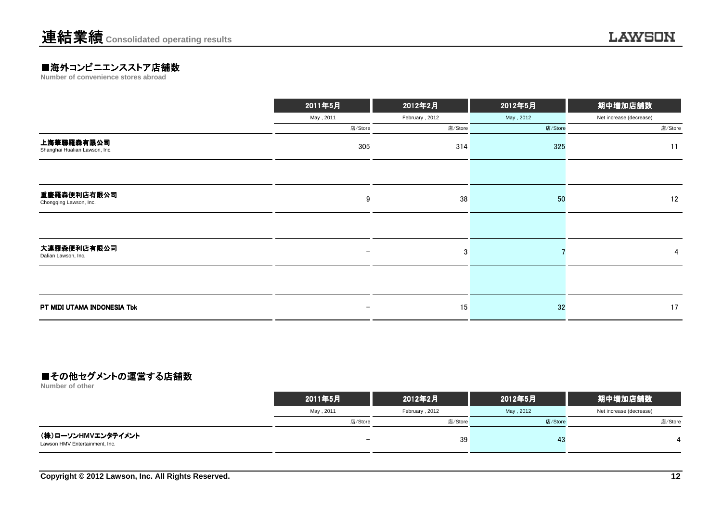# ■海外コンビニエンスストア店舗数<br>Number of convenience stores abroad

**Number of convenience stores abroad**

|                                             | 2011年5月                  | 2012年2月        | 2012年5月   | 期中増加店舗数                 |
|---------------------------------------------|--------------------------|----------------|-----------|-------------------------|
|                                             | May, 2011                | February, 2012 | May, 2012 | Net increase (decrease) |
|                                             | 店/Store                  | 店/Store        | 店/Store   | 店/Store                 |
| 上海華聯羅森有限公司<br>Shanghai Hualian Lawson, Inc. | 305                      | 314            | 325       | 11                      |
|                                             |                          |                |           |                         |
| 重慶羅森便利店有限公司<br>Chongqing Lawson, Inc.       | 9                        | 38             | 50        | 12                      |
|                                             |                          |                |           |                         |
| 大連羅森便利店有限公司<br>Dalian Lawson, Inc.          | $\qquad \qquad -$        | 3              |           | 4                       |
|                                             |                          |                |           |                         |
| PT MIDI UTAMA INDONESIA Tbk                 | $\overline{\phantom{m}}$ | 15             | 32        | 17                      |

### ■その他セグメントの運営する店舗数

**Number of other**

|                                                      | 2011年5月                  | 2012年2月        | 2012年5月   | 期中増加店舗数                 |
|------------------------------------------------------|--------------------------|----------------|-----------|-------------------------|
|                                                      | May, 2011                | February, 2012 | May, 2012 | Net increase (decrease) |
|                                                      | 店/Store                  | 店/Store        | 店/Store   | 店/Store                 |
| (株)ローソンHMVエンタテイメント<br>Lawson HMV Entertainment, Inc. | $\overline{\phantom{a}}$ | 39             | 43        |                         |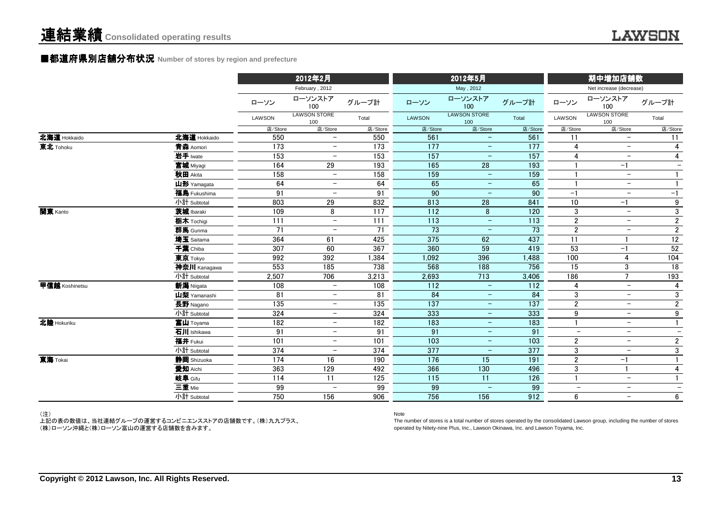### ■都道府県別店舗分布状況 **Number of stores by region and prefecture**

|                              |                 | 2012年2月                    |         |                  | 2012年5月                    |                  |                          | 期中増加店舗数                    |                          |
|------------------------------|-----------------|----------------------------|---------|------------------|----------------------------|------------------|--------------------------|----------------------------|--------------------------|
|                              |                 | February, 2012             |         |                  | May, 2012                  |                  |                          | Net increase (decrease)    |                          |
|                              | ローソン            | ローソンストア<br>100             | グループ計   | ローソン             | ローソンストア<br>100             | グループ計            | ローソン                     | ローソンストア<br>100             | グループ計                    |
|                              | LAWSON          | <b>LAWSON STORE</b><br>100 | Total   | LAWSON           | <b>LAWSON STORE</b><br>100 | Total            | <b>LAWSON</b>            | <b>LAWSON STORE</b><br>100 | Total                    |
|                              | 店/Store         | 店/Store                    | 店/Store | 店/Store          | 店/Store                    | 店/Store          | 店/Store                  | 店/Store                    | 店/Store                  |
| 北海道 Hokkaido<br>北海道 Hokkaido | 550             | $\overline{\phantom{0}}$   | 550     | 561              | $\overline{\phantom{a}}$   | 561              | 11                       | $\overline{\phantom{m}}$   | 11                       |
| 東北 Tohoku<br>青森 Aomori       | 173             | $\overline{\phantom{0}}$   | 173     | 177              | $\overline{\phantom{m}}$   | 177              | 4                        | $-$                        | 4                        |
| 岩手 Iwate                     | $\frac{153}{ }$ | $\overline{\phantom{m}}$   | 153     | 157              | $\qquad \qquad -$          | 157              | 4                        | $\overline{\phantom{m}}$   | 4                        |
| 宫城 Miyagi                    | 164             | 29                         | 193     | 165              | $\overline{28}$            | 193              |                          | $-1$                       | $\overline{\phantom{m}}$ |
| 秋田 Akita                     | 158             | $\overline{\phantom{m}}$   | 158     | 159              | $\overline{\phantom{0}}$   | 159              |                          | $\overline{\phantom{m}}$   |                          |
| 山形 Yamagata                  | 64              | $\overline{\phantom{m}}$   | 64      | 65               | $\qquad \qquad -$          | 65               |                          | $\overline{\phantom{m}}$   |                          |
| 福島 Fukushima                 | 91              |                            | 91      | 90               |                            | 90               | $-1$                     | $\overline{\phantom{m}}$   | $-1$                     |
| 小計 Subtotal                  | 803             | 29                         | 832     | 813              | 28                         | 841              | 10                       | $-1$                       | 9                        |
| 関東 Kanto<br>茨城 Ibaraki       | 109             | 8                          | 117     | 112              | 8                          | 120              | 3                        | $\overline{\phantom{m}}$   | $\sqrt{3}$               |
| 栃木 Tochigi                   | 111             | $\overline{\phantom{m}}$   | 111     | 113              | $\overline{\phantom{m}}$   | 113              | $\overline{2}$           | $-$                        | $\overline{2}$           |
| 群馬 Gunma                     | 71              | $\overline{\phantom{m}}$   | 71      | 73               | $\qquad \qquad -$          | 73               | $\overline{2}$           | $\overline{\phantom{m}}$   | $\mathbf{2}$             |
| 埼玉 Saitama                   | 364             | 61                         | 425     | 375              | 62                         | 437              | 11                       |                            | $12\,$                   |
| 千葉 Chiba                     | 307             | 60                         | 367     | 360              | 59                         | 419              | 53                       | $-1$                       | 52                       |
| 東京 Tokyo                     | 992             | 392                        | 1,384   | 1,092            | 396                        | 1,488            | 100                      | 4                          | 104                      |
| 神奈川 Kanagawa                 | 553             | 185                        | 738     | 568              | 188                        | 756              | 15                       | 3                          | 18                       |
| 小計 Subtotal                  | 2,507           | 706                        | 3,213   | 2,693            | 713                        | 3,406            | 186                      | $\overline{7}$             | 193                      |
| 甲信越 Koshinetsu<br>新潟 Niigata | 108             | $\overline{\phantom{0}}$   | 108     | $\overline{112}$ | $\equiv$                   | $\overline{112}$ | 4                        | $\overline{\phantom{0}}$   | 4                        |
| 山梨 Yamanashi                 | 81              | $\overline{\phantom{m}}$   | 81      | 84               | $\qquad \qquad -$          | 84               | 3                        | $\overline{\phantom{m}}$   | 3                        |
| 長野 Nagano                    | 135             | $\overline{\phantom{m}}$   | 135     | $\overline{137}$ | $\qquad \qquad -$          | $\overline{137}$ | $\boldsymbol{2}$         | $-$                        | $\overline{2}$           |
| 小計 Subtotal                  | 324             | $\overline{\phantom{m}}$   | 324     | 333              | $\qquad \qquad -$          | 333              | $\boldsymbol{9}$         | $-$                        | 9                        |
| 北陸 Hokuriku<br>富山 Toyama     | 182             | $\overline{\phantom{a}}$   | 182     | 183              | $\overline{\phantom{a}}$   | 183              |                          | $\overline{\phantom{m}}$   | $\mathbf{1}$             |
| 石川 Ishikawa                  | 91              | $\overline{\phantom{m}}$   | 91      | 91               | $\overline{\phantom{m}}$   | 91               | $\overline{\phantom{m}}$ | $\overline{\phantom{m}}$   | $\overline{\phantom{m}}$ |
| 福井 Fukui                     | 101             | $\overline{\phantom{m}}$   | 101     | 103              | $\qquad \qquad -$          | 103              | 2                        | $\overline{\phantom{m}}$   | $\mathbf{2}$             |
| 小計 Subtotal                  | 374             | $\overline{\phantom{m}}$   | 374     | 377              | $\overline{\phantom{m}}$   | 377              | 3                        | $\overline{\phantom{m}}$   | $\mathbf{3}$             |
| 東海 Tokai<br>静岡 Shizuoka      | 174             | 16                         | 190     | 176              | 15                         | 191              | $\overline{2}$           | $-1$                       | $\mathbf{1}$             |
| 愛知 Aichi                     | 363             | 129                        | 492     | 366              | 130                        | 496              | 3                        | $\mathbf{1}$               | $\overline{4}$           |
| 岐阜 Gifu                      | 114             | 11                         | 125     | 115              | 11                         | 126              | 1                        | $\overline{\phantom{m}}$   | $\mathbf{1}$             |
| 三重 Mie                       | 99              | $\overline{\phantom{0}}$   | 99      | 99               | $\overline{\phantom{0}}$   | 99               | $\overline{\phantom{m}}$ | $-$                        | $-$                      |
| 小計 Subtotal                  | 750             | 156                        | 906     | 756              | 156                        | 912              | 6                        | $-$                        | 6                        |

#### (注)

 上記の表の数値は、当社連結グループの運営するコンビニエンスストアの店舗数です。(株)九九プラス、(株)ローソン沖縄と(株)ローソン富山の運営する店舗数を含みます。

#### Note

 The number of stores is a total number of stores operated by the consolidated Lawson group, including the number of storesoperated by Nitety-nine Plus, Inc., Lawson Okinawa, Inc. and Lawson Toyama, Inc.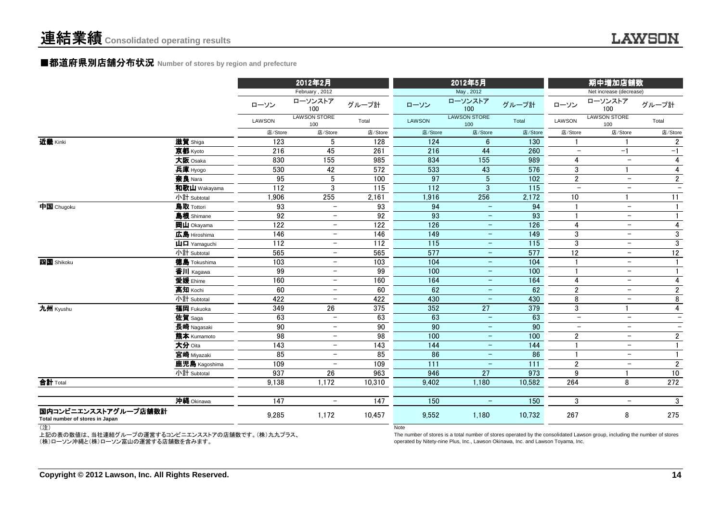### ■都道府県別店舗分布状況 Number of stores by region and prefecture

|                                                         |                                                           |                  | 2012年2月                    |         |                  | 2012年5月                    |                 | 期中増加店舗数                  |                            |                          |  |
|---------------------------------------------------------|-----------------------------------------------------------|------------------|----------------------------|---------|------------------|----------------------------|-----------------|--------------------------|----------------------------|--------------------------|--|
|                                                         |                                                           |                  | February, 2012             |         |                  | May, 2012                  |                 |                          | Net increase (decrease)    |                          |  |
|                                                         |                                                           | ローソン             | ローソンストア<br>100             | グループ計   | ローソン             | ローソンストア<br>100             | グループ計           | ローソン                     | ローソンストア<br>100             | グループ計                    |  |
|                                                         |                                                           | LAWSON           | <b>LAWSON STORE</b><br>100 | Total   | LAWSON           | <b>LAWSON STORE</b><br>100 | Total           | LAWSON                   | <b>LAWSON STORE</b><br>100 | Total                    |  |
|                                                         |                                                           | 店/Store          | 店/Store                    | 店/Store | 店/Store          | 店/Store                    | 店/Store         | 店/Store                  | 店/Store                    | 店/Store                  |  |
| 近畿 Kinki                                                | 滋賀 Shiga                                                  | $\overline{123}$ | 5                          | 128     | $\frac{1}{24}$   | $6\phantom{1}$             | $\frac{130}{ }$ |                          |                            | $\overline{2}$           |  |
|                                                         | 京都 Kyoto                                                  | 216              | 45                         | 261     | 216              | 44                         | 260             | $\overline{\phantom{m}}$ | $-1$                       | $-1$                     |  |
|                                                         | 大阪 Osaka                                                  | 830              | 155                        | 985     | 834              | 155                        | 989             | 4                        | $-$                        | 4                        |  |
|                                                         | 兵庫 Hyogo                                                  | 530              | 42                         | 572     | 533              | 43                         | 576             | 3                        | 1                          | 4                        |  |
|                                                         | 奈良 Nara                                                   | 95               | $\overline{5}$             | 100     | 97               | $\overline{5}$             | 102             | $\overline{2}$           | $\overline{\phantom{m}}$   | $\overline{2}$           |  |
|                                                         | 和歌山 Wakayama                                              | 112              | 3                          | 115     | 112              | $\mathbf{3}$               | 115             | $\overline{\phantom{a}}$ | $-$                        | $\overline{\phantom{m}}$ |  |
|                                                         | 小計 Subtotal                                               | 1,906            | 255                        | 2,161   | 1,916            | 256                        | 2,172           | $10$                     | $\mathbf{1}$               | 11                       |  |
| 中国 Chugoku                                              | 鳥取 Tottori                                                | 93               | $\overline{\phantom{m}}$   | 93      | 94               | $\equiv$                   | 94              | $\mathbf{1}$             | $\overline{\phantom{a}}$   | $\mathbf{1}$             |  |
|                                                         | 島根 Shimane                                                | 92               | $\overline{\phantom{m}}$   | 92      | 93               | $\overline{\phantom{m}}$   | 93              | $\mathbf{1}$             | $-$                        |                          |  |
|                                                         | 岡山 Okayama                                                | 122              | $\overline{\phantom{m}}$   | 122     | 126              | $\overline{\phantom{m}}$   | $\frac{1}{26}$  | 4                        | $-$                        | 4                        |  |
|                                                         | 広島 Hiroshima                                              | 146              | $\overline{\phantom{m}}$   | 146     | 149              | $\overline{\phantom{m}}$   | 149             | $\mathbf{3}$             | $\overline{\phantom{m}}$   | 3                        |  |
|                                                         | $\mathbf{\mathsf{\mu}}$ $\mathbf{\mathsf{\Pi}}$ Yamaquchi | 112              | $\overline{\phantom{m}}$   | 112     | 115              | $\equiv$                   | 115             | 3                        | $\overline{\phantom{m}}$   | 3                        |  |
|                                                         | 小計 Subtotal                                               | 565              | $\overline{\phantom{m}}$   | 565     | $\overline{577}$ | $\equiv$                   | 577             | 12                       | $\overline{\phantom{0}}$   | 12                       |  |
| 四国 Shikoku                                              | <b>徳島</b> Tokushima                                       | 103              | $\overline{\phantom{m}}$   | 103     | 104              | $-$                        | 104             | $\mathbf{1}$             | $-$                        |                          |  |
|                                                         | 香川 Kagawa                                                 | 99               | $\overline{\phantom{a}}$   | 99      | 100              | $\equiv$                   | 100             |                          | $-$                        |                          |  |
|                                                         | 愛媛 Ehime                                                  | 160              | $\overline{\phantom{a}}$   | 160     | 164              | $\overline{\phantom{m}}$   | 164             | $\overline{4}$           | $\overline{\phantom{m}}$   | 4                        |  |
|                                                         | 高知 Kochi                                                  | 60               | $\overline{\phantom{m}}$   | 60      | 62               | $\equiv$                   | 62              | $\overline{2}$           | $-$                        | $\overline{2}$           |  |
|                                                         | 小計 Subtotal                                               | 422              | $\overline{\phantom{a}}$   | 422     | 430              | $\equiv$                   | 430             | 8                        | $-$                        | 8                        |  |
| 九州 Kyushu                                               | 福岡 Fukuoka                                                | 349              | 26                         | 375     | 352              | 27                         | 379             | 3                        | $\mathbf{1}$               | 4                        |  |
|                                                         | 佐賀 Saga                                                   | 63               | $\overline{\phantom{0}}$   | 63      | 63               | $\equiv$                   | 63              | $\overline{\phantom{0}}$ | $\overline{\phantom{m}}$   | $\qquad \qquad -$        |  |
|                                                         | 長崎 Nagasaki                                               | 90               | $\overline{\phantom{m}}$   | 90      | 90               | $\overline{\phantom{m}}$   | 90              | $\overline{\phantom{m}}$ | $\overline{\phantom{m}}$   | $\overline{\phantom{m}}$ |  |
|                                                         | 熊本 Kumamoto                                               | 98               | $\overline{\phantom{m}}$   | 98      | 100              | $\overline{\phantom{m}}$   | 100             | $\overline{2}$           | $\overline{\phantom{m}}$   | $\overline{2}$           |  |
|                                                         | 大分 Oita                                                   | 143              | $\overline{\phantom{m}}$   | 143     | 144              | $\equiv$                   | 144             | $\mathbf{1}$             | $-$                        | $\mathbf{1}$             |  |
|                                                         | 宮崎 Miyazaki                                               | 85               | $\overline{\phantom{m}}$   | 85      | 86               | $\overline{\phantom{m}}$   | 86              | $\mathbf{1}$             | $-$                        |                          |  |
|                                                         | 鹿児島 Kagoshima                                             | 109              | $\overline{\phantom{0}}$   | 109     | 111              | $\overline{\phantom{m}}$   | 111             | $\overline{2}$           | $-$                        | $\overline{2}$           |  |
|                                                         | 小計 Subtotal                                               | 937              | 26                         | 963     | 946              | 27                         | 973             | 9                        | 1                          | 10                       |  |
| 合計 Total                                                |                                                           | 9,138            | 1,172                      | 10,310  | 9,402            | 1,180                      | 10,582          | 264                      | 8                          | 272                      |  |
|                                                         |                                                           |                  |                            |         |                  |                            |                 |                          |                            |                          |  |
|                                                         | 沖縄 Okinawa                                                | 147              | $\overline{\phantom{a}}$   | 147     | 150              | $\overline{\phantom{m}}$   | 150             | 3                        | $-$                        | $\mathbf{3}$             |  |
| 国内コンビニエンスストアグループ店舗数計<br>Total number of stores in Japan |                                                           | 9,285            | 1,172                      | 10,457  | 9,552            | 1,180                      | 10,732          | 267                      | 8                          | 275                      |  |

(注)

上記の表の数値は、当社連結グループの運営するコンビニエンスストアの店舗数です。(株)九九プラス、 (株)ローソン沖縄と(株)ローソン富山の運営する店舗数を含みます。

Note

 The number of stores is a total number of stores operated by the consolidated Lawson group, including the number of storesoperated by Nitety-nine Plus, Inc., Lawson Okinawa, Inc. and Lawson Toyama, Inc.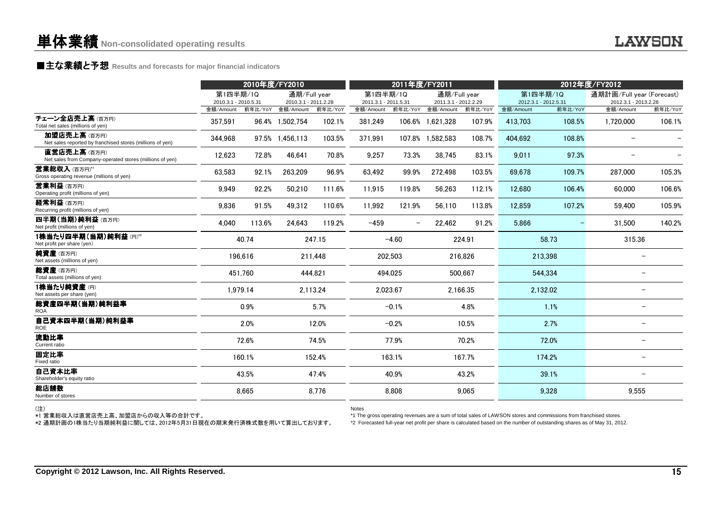# **■主な業績と予想** Results and forecasts for major financial indicators<br>
————————————————————

|                                                                                                      |                                  | 2010年度/FY2010 |                                      |          |                                  | 2011年度/FY2011 |                                      |          |                                                                                                                                                                                                                                               | 2012年度/FY2012 |                                                   |         |  |
|------------------------------------------------------------------------------------------------------|----------------------------------|---------------|--------------------------------------|----------|----------------------------------|---------------|--------------------------------------|----------|-----------------------------------------------------------------------------------------------------------------------------------------------------------------------------------------------------------------------------------------------|---------------|---------------------------------------------------|---------|--|
|                                                                                                      | 第1四半期/1Q<br>2010.3.1 - 2010.5.31 |               | 通期/Full year<br>2010.3.1 - 2011.2.28 |          | 第1四半期/1Q<br>2011.3.1 - 2011.5.31 |               | 通期/Full year<br>2011.3.1 - 2012.2.29 |          | 第1四半期/1Q<br>2012.3.1 - 2012.5.31                                                                                                                                                                                                              |               | 通期計画/Full year (Forecast)<br>2012.3.1 - 2013.2.28 |         |  |
|                                                                                                      | 金額/Amount                        |               | 前年比/YoY 金額/Amount                    | 前年比/YoY  | 金額/Amount                        |               | 前年比/YoY 金額/Amount                    | 前年比/YoY  | 金額/Amount                                                                                                                                                                                                                                     | 前年比/YoY       | 金額/Amount                                         | 前年比/YoY |  |
| チェーン全店売上高(百万円)<br>Total net sales (millions of yen)                                                  | 357.591                          |               | 96.4% 1.502.754                      | 102.1%   | 381.249                          |               | 106.6% 1,621,328                     | 107.9%   | 413.703                                                                                                                                                                                                                                       | 108.5%        | 1,720,000                                         | 106.1%  |  |
| 加盟店売上高(百万円)<br>Net sales reported by franchised stores (millions of yen)                             | 344.968                          |               | 97.5% 1.456.113                      | 103.5%   | 371.991                          |               | 107.8% 1.582.583                     | 108.7%   | 404.692                                                                                                                                                                                                                                       | 108.8%        | $\overline{\phantom{a}}$                          |         |  |
| 直営店売上高(百万円)<br>Net sales from Company-operated stores (millions of yen)                              | 12.623                           | 72.8%         | 46.641                               | 70.8%    | 9.257                            | 73.3%         | 38.745                               | 83.1%    | 9.011                                                                                                                                                                                                                                         | 97.3%         | $\qquad \qquad -$                                 |         |  |
| <b>営業総収入</b> (百万円)*'<br>Gross operating revenue (millions of yen)                                    | 63,583                           | 92.1%         | 263,209                              | 96.9%    | 63,492                           | 99.9%         | 272,498                              | 103.5%   | 69,678                                                                                                                                                                                                                                        | 109.7%        | 287,000                                           | 105.3%  |  |
| <b>営業利益</b> (百万円)<br>Operating profit (millions of yen)                                              | 9.949                            | 92.2%         | 50,210                               | 111.6%   | 11,915                           | 119.8%        | 56,263                               | 112.1%   | 12,680                                                                                                                                                                                                                                        | 106.4%        | 60,000                                            | 106.6%  |  |
| 経常利益(百万円)<br>Recurring profit (millions of yen)                                                      | 9,836                            | 91.5%         | 49,312                               | 110.6%   | 11,992                           | 121.9%        | 56,110                               | 113.8%   | 12,859                                                                                                                                                                                                                                        | 107.2%        | 59.400                                            | 105.9%  |  |
| 四半期(当期)純利益(百万円)<br>Net profit (millions of yen)                                                      | 4.040                            | 113.6%        | 24,643                               | 119.2%   | $-459$                           |               | 22,462                               | 91.2%    | 5,866                                                                                                                                                                                                                                         |               | 31,500                                            | 140.2%  |  |
| 1株当たり四半期(当期)純利益(円)*2<br>Net profit per share (yen)                                                   |                                  | 40.74         |                                      | 247.15   |                                  | $-4.60$       |                                      | 224.91   |                                                                                                                                                                                                                                               | 58.73         | 315.36                                            |         |  |
| 純資産(百万円)<br>Net assets (millions of yen)                                                             |                                  | 196,616       |                                      | 211,448  |                                  | 202,503       |                                      | 216,826  |                                                                                                                                                                                                                                               | 213,398       | $\overline{\phantom{m}}$                          |         |  |
| <b>総資産</b> (百万円)<br>Total assets (millions of yen)                                                   |                                  | 451.760       |                                      | 444.821  |                                  | 494,025       |                                      | 500.667  |                                                                                                                                                                                                                                               | 544.334       | $\overline{\phantom{m}}$                          |         |  |
| 1株当たり純資産(円)<br>Net assets per share (yen)                                                            | 1,979.14                         |               |                                      | 2,113.24 |                                  | 2,023.67      |                                      | 2,166.35 |                                                                                                                                                                                                                                               | 2,132.02      | $\overline{\phantom{m}}$                          |         |  |
| 総資産四半期(当期)純利益率<br><b>ROA</b>                                                                         |                                  | 0.9%          |                                      | 5.7%     |                                  | $-0.1%$       |                                      | 4.8%     |                                                                                                                                                                                                                                               | 1.1%          | $\overline{\phantom{m}}$                          |         |  |
| 自己資本四半期(当期)純利益率<br><b>ROE</b>                                                                        |                                  | 2.0%          |                                      | 12.0%    |                                  | $-0.2%$       |                                      | 10.5%    |                                                                                                                                                                                                                                               | 2.7%          | $\overline{\phantom{0}}$                          |         |  |
| 流動比率<br>Current ratio                                                                                |                                  | 72.6%         |                                      | 74.5%    |                                  | 77.9%         |                                      | 70.2%    |                                                                                                                                                                                                                                               | 72.0%         |                                                   |         |  |
| 固定比率<br>Fixed ratio                                                                                  |                                  | 160.1%        |                                      | 152.4%   |                                  | 163.1%        |                                      | 167.7%   |                                                                                                                                                                                                                                               | 174.2%        | $\overline{\phantom{m}}$                          |         |  |
| 自己資本比率<br>Shareholder's equity ratio                                                                 |                                  | 43.5%         |                                      | 47.4%    |                                  | 40.9%         |                                      | 43.2%    |                                                                                                                                                                                                                                               | 39.1%         |                                                   |         |  |
| 総店舗数<br>Number of stores                                                                             |                                  | 8,665         |                                      | 8,776    |                                  | 8,808         |                                      | 9,065    |                                                                                                                                                                                                                                               | 9,328         | 9,555                                             |         |  |
| (注)<br>*1 営業総収入は直営店売上高、加盟店からの収入等の合計です。<br>*2 通期計画の1株当たり当期純利益に関しては、2012年5月31日現在の期末発行済株式数を用いて算出しております。 |                                  |               |                                      |          | <b>Notes</b>                     |               |                                      |          | *1 The gross operating revenues are a sum of total sales of LAWSON stores and commissions from franchised stores.<br>*2 Forecasted full-year net profit per share is calculated based on the number of outstanding shares as of May 31, 2012. |               |                                                   |         |  |
|                                                                                                      |                                  |               |                                      |          |                                  |               |                                      |          |                                                                                                                                                                                                                                               |               |                                                   |         |  |
|                                                                                                      |                                  |               |                                      |          |                                  |               |                                      |          |                                                                                                                                                                                                                                               |               |                                                   |         |  |
| Copyright © 2012 Lawson, Inc. All Rights Reserved.                                                   |                                  |               |                                      |          |                                  |               |                                      |          |                                                                                                                                                                                                                                               |               |                                                   | 15      |  |
|                                                                                                      |                                  |               |                                      |          |                                  |               |                                      |          |                                                                                                                                                                                                                                               |               |                                                   |         |  |

(注)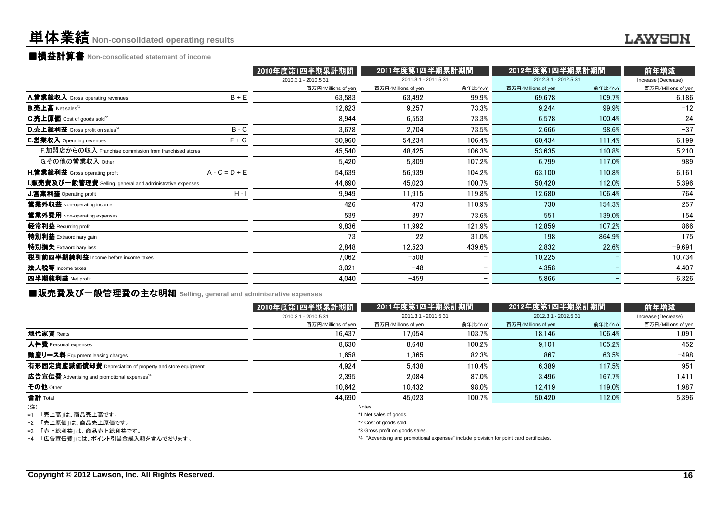# 単体業績**Non-consolidated operating results**

■損益計算書 **Non-consolidated statement of income**

|                                                                      |                 | 2010年度第1四半期累計期間      | 2011年度第1四半期累計期間      |                          | 2012年度第1四半期累計期間      |         | 前年増減                |
|----------------------------------------------------------------------|-----------------|----------------------|----------------------|--------------------------|----------------------|---------|---------------------|
|                                                                      |                 | 2010.3.1 - 2010.5.31 | 2011.3.1 - 2011.5.31 |                          | 2012.3.1 - 2012.5.31 |         | Increase (Decrease) |
|                                                                      |                 | 百万円/Millions of yen  | 百万円/Millions of yen  | 前年比/YoY                  | 百万円/Millions of yen  | 前年比/YoY | 百万円/Millions of yen |
| A.営業総収入 Gross operating revenues                                     | $B + E$         | 63.583               | 63,492               | 99.9%                    | 69.678               | 109.7%  | 6,186               |
| <b>B.売上高</b> Net sales <sup>*1</sup>                                 |                 | 12.623               | 9.257                | 73.3%                    | 9.244                | 99.9%   | $-12$               |
| $C.E.E. \overline{F} \overline{F} \overline{F} Cost of goods sold*2$ |                 | 8.944                | 6,553                | 73.3%                    | 6,578                | 100.4%  | 24                  |
| <b>D.売上総利益</b> Gross profit on sales <sup>13</sup>                   | $B - C$         | 3,678                | 2,704                | 73.5%                    | 2,666                | 98.6%   | $-37$               |
| E.営業収入 Operating revenues                                            | $F + G$         | 50,960               | 54,234               | 106.4%                   | 60,434               | 111.4%  | 6,199               |
| F.加盟店からの収入 Franchise commission from franchised stores               |                 | 45.540               | 48,425               | 106.3%                   | 53,635               | 110.8%  | 5,210               |
| G.その他の営業収入 Other                                                     |                 | 5,420                | 5,809                | 107.2%                   | 6,799                | 117.0%  | 989                 |
| H.営業総利益 Gross operating profit                                       | $A - C = D + E$ | 54,639               | 56,939               | 104.2%                   | 63.100               | 110.8%  | 6,161               |
| <b>I.販売費及び一般管理費</b> Selling, general and administrative expenses     |                 | 44,690               | 45,023               | 100.7%                   | 50,420               | 112.0%  | 5,396               |
| J.営業利益 Operating profit                                              | $H - I$         | 9,949                | 11,915               | 119.8%                   | 12,680               | 106.4%  | 764                 |
| 営業外収益 Non-operating income                                           |                 | 426                  | 473                  | 110.9%                   | 730                  | 154.3%  | 257                 |
| 営業外費用 Non-operating expenses                                         |                 | 539                  | 397                  | 73.6%                    | 551                  | 139.0%  | 154                 |
| 経常利益 Recurring profit                                                |                 | 9,836                | 11,992               | 121.9%                   | 12,859               | 107.2%  | 866                 |
| 特別利益 Extraordinary gain                                              |                 | 73                   | 22                   | 31.0%                    | 198                  | 864.9%  | 175                 |
| 特別損失 Extraordinary loss                                              |                 | 2,848                | 12,523               | 439.6%                   | 2,832                | 22.6%   | $-9,691$            |
| 税引前四半期純利益 Income before income taxes                                 |                 | 7,062                | $-508$               | $\qquad \qquad -$        | 10,225               |         | 10,734              |
| 法人税等 Income taxes                                                    |                 | 3.021                | $-48$                | $\overline{\phantom{m}}$ | 4.358                |         | 4,407               |
| 四半期純利益 Net profit                                                    |                 | 4,040                | $-459$               | $\qquad \qquad -$        | 5,866                |         | 6,326               |
|                                                                      |                 |                      |                      |                          |                      |         |                     |

### ■販売費及び一般管理費の主な明細 **Selling, general and administrative expenses**

|                                                          | 2010年度第1四半期累計期間      | 2011年度第1四半期累計期間      |         | 2012年度第1四半期累計期間      |         | 前年増減                |
|----------------------------------------------------------|----------------------|----------------------|---------|----------------------|---------|---------------------|
|                                                          | 2010.3.1 - 2010.5.31 | 2011.3.1 - 2011.5.31 |         | 2012.3.1 - 2012.5.31 |         | Increase (Decrease) |
|                                                          | 百万円/Millions of yen  | 百万円/Millions of yen  | 前年比/YoY | 百万円/Millions of yen  | 前年比/YoY | 百万円/Millions of yen |
| 地代家賃 Rents                                               | 16.437               | 17.054               | 103.7%  | 18.146               | 106.4%  | 1,091               |
| 人件費 Personal expenses                                    | 8.630                | 8.648                | 100.2%  | 9,101                | 105.2%  | 452                 |
| 動産リース料 Equipment leasing charges                         | 1,658                | 1.365                | 82.3%   | 867                  | 63.5%   | -498                |
| 有形固定資産減価償却費 Depreciation of property and store equipment | 4.924                | 5.438                | 110.4%  | 6.389                | 117.5%  | 951                 |
| 広告宣伝費 Advertising and promotional expenses <sup>*4</sup> | 2.395                | 2.084                | 87.0%   | 3.496                | 167.7%  | 1,411               |
| その他 Other                                                | 10.642               | 10.432               | 98.0%   | 12.419               | 119.0%  | 1,987               |
| 合計 Total                                                 | 44.690               | 45.023               | 100.7%  | 50.420               | 112.0%  | 5,396               |
| (注)                                                      |                      | Notes                |         |                      |         |                     |

\*1「売上高」は、商品売上高です。

\*2 「売上原価」は、商品売上原価です。

\*3 「売上総利益」は、商品売上総利益です。

\*4 「広告宣伝費」には、ポイント引当金繰入額を含んでおります。

\*1 Net sales of goods.

\*2 Cost of goods sold.

\*3 Gross profit on goods sales.

\*4 "Advertising and promotional expenses" include provision for point card certificates.

**LAWSON**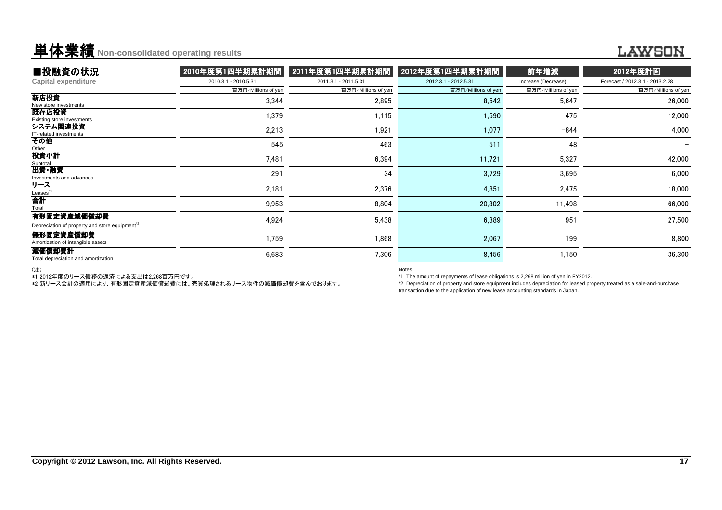### 単体業績**Non-consolidated operating results**

### **LAWSON**

| ■投融資の状況                                                                  | 2010年度第1四半期累計期間      | 2011年度第1四半期累計期間      | 2012年度第1四半期累計期間      | 前年増減                | 2012年度計画                        |
|--------------------------------------------------------------------------|----------------------|----------------------|----------------------|---------------------|---------------------------------|
| <b>Capital expenditure</b>                                               | 2010.3.1 - 2010.5.31 | 2011.3.1 - 2011.5.31 | 2012.3.1 - 2012.5.31 | Increase (Decrease) | Forecast / 2012.3.1 - 2013.2.28 |
|                                                                          | 百万円/Millions of yen  | 百万円/Millions of yen  | 百万円/Millions of yen  | 百万円/Millions of yen | 百万円/Millions of yen             |
| 新店投資<br>New store investments                                            | 3,344                | 2,895                | 8,542                | 5,647               | 26,000                          |
| 既存店投資<br>Existing store investments                                      | 1,379                | 1,115                | 1,590                | 475                 | 12,000                          |
| システム関連投資<br>IT-related investments                                       | 2,213                | 1,921                | 1,077                | $-844$              | 4,000                           |
| その他<br>Other                                                             | 545                  | 463                  | 511                  | 48                  |                                 |
| 投資小計<br>Subtotal                                                         | 7,481                | 6,394                | 11,721               | 5,327               | 42,000                          |
| 出資・融資<br>Investments and advances                                        | 291                  | 34                   | 3,729                | 3,695               | 6,000                           |
| リース<br>Leases <sup>®</sup>                                               | 2,181                | 2,376                | 4,851                | 2,475               | 18,000                          |
| 合計<br>Total                                                              | 9,953                | 8,804                | 20,302               | 11,498              | 66,000                          |
| 有形固定資産減価償却費<br>Depreciation of property and store equipment <sup>2</sup> | 4,924                | 5,438                | 6,389                | 951                 | 27,500                          |
| 無形固定資産償却費<br>Amortization of intangible assets                           | 1,759                | 1,868                | 2,067                | 199                 | 8,800                           |
| 減価償却費計<br>Total depreciation and amortization                            | 6,683                | 7,306                | 8,456                | 1,150               | 36,300                          |

(注) \*1 2012年度のリース債務の返済による支出は2,268百万円です。

\*2 新リース会計の適用により、有形固定資産減価償却費には、売買処理されるリース物件の減価償却費を含んでおります。

#### Notes

\*1 The amount of repayments of lease obligations is 2,268 million of yen in FY2012.

 \*2 Depreciation of property and store equipment includes depreciation for leased property treated as a sale-and-purchasetransaction due to the application of new lease accounting standards in Japan.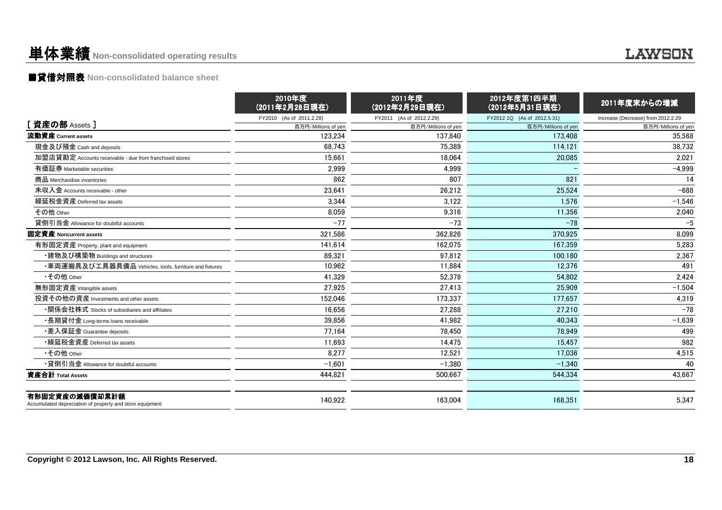# 単体業績**Non-consolidated operating results**

# ■貸借対照表 **Non-consolidated balance sheet**

|                                                                            | 2010年度<br>(2011年2月28日現在) | 2011年度<br>(2012年2月29日現在) | 2012年度第1四半期<br>(2012年5月31日現在) | 2011年度末からの増減                       |
|----------------------------------------------------------------------------|--------------------------|--------------------------|-------------------------------|------------------------------------|
|                                                                            | FY2010 (As of 2011.2.28) | FY2011 (As of 2012.2.29) | FY2012 1Q (As of 2012.5.31)   | Increase (Decrease) from 2012.2.29 |
| [ 資産の部 Assets ]                                                            | 百万円/Millions of yen      | 百万円/Millions of yen      | 百万円/Millions of yen           | 百万円/Millions of yen                |
| 流動資産 Current assets                                                        | 123.234                  | 137.840                  | 173,408                       | 35,568                             |
| 現金及び預金 Cash and deposits                                                   | 68.743                   | 75,389                   | 114,121                       | 38,732                             |
| 加盟店貸勘定 Accounts receivable - due from franchised stores                    | 15.661                   | 18.064                   | 20,085                        | 2,021                              |
| 有価証券 Marketable securities                                                 | 2,999                    | 4,999                    |                               | $-4,999$                           |
| 商品 Merchandise inventories                                                 | 862                      | 807                      | 821                           | 14                                 |
| 未収入金 Accounts receivable - other                                           | 23,641                   | 26,212                   | 25,524                        | $-688$                             |
| 繰延税金資産 Deferred tax assets                                                 | 3,344                    | 3,122                    | 1,576                         | $-1,546$                           |
| その他 Other                                                                  | 8,059                    | 9,316                    | 11,356                        | 2,040                              |
| 貸倒引当金 Allowance for doubtful accounts                                      | $-77$                    | $-73$                    | $-78$                         | $-5$                               |
| 固定資産 Noncurrent assets                                                     | 321.586                  | 362.826                  | 370.925                       | 8,099                              |
| 有形固定資産 Property, plant and equipment                                       | 141.614                  | 162,075                  | 167.359                       | 5.283                              |
| ・建物及び構築物 Buildings and structures                                          | 89,321                   | 97,812                   | 100.180                       | 2,367                              |
| ・車両運搬具及び工具器具備品 Vehicles, tools, furniture and fixtures                     | 10,962                   | 11,884                   | 12,376                        | 491                                |
| •その他 Other                                                                 | 41.329                   | 52,378                   | 54.802                        | 2,424                              |
| 無形固定資産 Intangible assets                                                   | 27,925                   | 27,413                   | 25,909                        | $-1,504$                           |
| 投資その他の資産 Investments and other assets                                      | 152,046                  | 173,337                  | 177.657                       | 4,319                              |
| ・関係会社株式 Stocks of subsidiaries and affiliates                              | 16,656                   | 27,288                   | 27,210                        | $-78$                              |
| ・長期貸付金 Long-terms loans receivable                                         | 39,856                   | 41,982                   | 40,343                        | $-1,639$                           |
| •差入保証金 Guarantee deposits                                                  | 77,164                   | 78,450                   | 78,949                        | 499                                |
| •繰延税金資産 Deferred tax assets                                                | 11,693                   | 14,475                   | 15,457                        | 982                                |
| •その他 Other                                                                 | 8.277                    | 12,521                   | 17,036                        | 4,515                              |
| •貸倒引当金 Allowance for doubtful accounts                                     | $-1.601$                 | $-1,380$                 | $-1,340$                      | 40                                 |
| 資産合計 Total Assets                                                          | 444,821                  | 500,667                  | 544,334                       | 43,667                             |
| 有形固定資産の減価償却累計額<br>Accumulated depreciation of property and store equipment | 140,922                  | 163.004                  | 168.351                       | 5,347                              |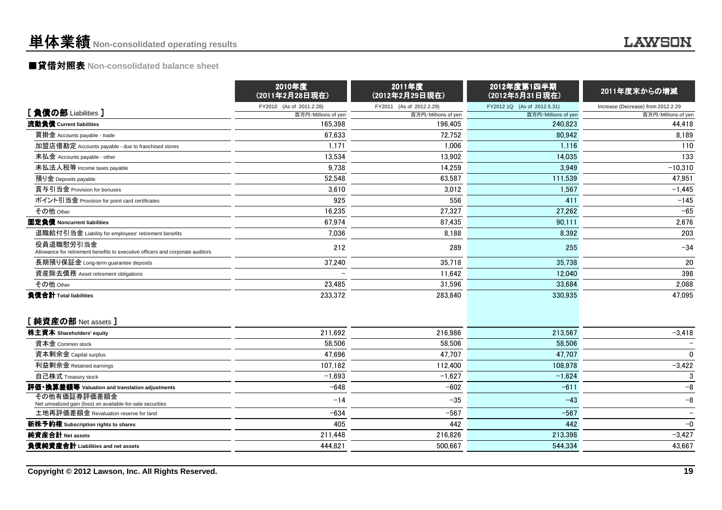# ■貸借対照表 **Non-consolidated balance sheet**

|                                                                                             | 2010年度<br>(2011年2月28日現在)       | 2011年度<br>(2012年2月29日現在)       | 2012年度第1四半期<br>(2012年5月31日現在)  | 2011年度末からの増減                       |
|---------------------------------------------------------------------------------------------|--------------------------------|--------------------------------|--------------------------------|------------------------------------|
| [負債の部 Liabilities ]                                                                         | FY2010 (As of 2011.2.28)       | FY2011 (As of 2012.2.29)       | FY2012 1Q (As of 2012.5.31)    | Increase (Decrease) from 2012.2.29 |
| 流動負債 Current liabilities                                                                    | 百万円/Millions of yen<br>165,398 | 百万円/Millions of yen<br>196.405 | 百万円/Millions of yen<br>240.823 | 百万円/Millions of yen                |
|                                                                                             |                                |                                |                                | 44,418                             |
| 買掛金 Accounts payable - trade                                                                | 67,633                         | 72,752                         | 80,942                         | 8,189                              |
| 加盟店借勘定 Accounts payable - due to franchised stores                                          | 1,171                          | 1,006                          | 1,116                          | 110                                |
| 未払金 Accounts payable - other                                                                | 13,534                         | 13,902                         | 14,035                         | 133                                |
| 未払法人税等 Income taxes payable                                                                 | 9,738                          | 14,259                         | 3,949                          | $-10,310$                          |
| 預り金 Deposits payable                                                                        | 52,548                         | 63,587                         | 111,539                        | 47,951                             |
| 賞与引当金 Provision for bonuses                                                                 | 3.610                          | 3,012                          | 1,567                          | $-1,445$                           |
| ポイント引当金 Provision for point card certificates                                               | 925                            | 556                            | 411                            | $-145$                             |
| その他 Other                                                                                   | 16,235                         | 27,327                         | 27,262                         | $-65$                              |
| 固定負債 Noncurrent liabilities                                                                 | 67,974                         | 87,435                         | 90,111                         | 2,676                              |
| 退職給付引当金 Liability for employees' retirement benefits                                        | 7,036                          | 8,188                          | 8,392                          | 203                                |
| 役員退職慰労引当金<br>Allowance for retirement benefits to executive officers and corporate auditors | 212                            | 289                            | 255                            | $-34$                              |
| 長期預り保証金 Long-term guarantee deposits                                                        | 37,240                         | 35,718                         | 35,738                         | 20                                 |
| 資産除去債務 Asset retirement obligations                                                         |                                | 11.642                         | 12.040                         | 398                                |
| その他 Other                                                                                   | 23,485                         | 31,596                         | 33,684                         | 2,088                              |
| 負債合計 Total liabilities                                                                      | 233,372                        | 283.840                        | 330,935                        | 47,095                             |
| [純資産の部 Net assets]                                                                          |                                |                                |                                |                                    |
| 株主資本 Shareholders' equity                                                                   | 211,692                        | 216.986                        | 213,567                        | $-3,418$                           |
| 資本金 Common stock                                                                            | 58,506                         | 58,506                         | 58.506                         | $\overline{\phantom{0}}$           |
| 資本剰余金 Capital surplus                                                                       | 47,696                         | 47,707                         | 47,707                         | $\Omega$                           |
| 利益剰余金 Retained earnings                                                                     | 107,182                        | 112.400                        | 108.978                        | $-3,422$                           |
| 自己株式 Treasury stock                                                                         | $-1,693$                       | $-1,627$                       | $-1,624$                       | 3                                  |
| 評価・換算差額等 Valuation and translation adjustments                                              | $-648$                         | $-602$                         | $-611$                         | $-8$                               |
| その他有価証券評価差額金<br>Net unrealized gain (loss) on available-for-sale securities                 | $-14$                          | $-35$                          | $-43$                          | $-8$                               |
| 土地再評価差額金 Revaluation reserve for land                                                       | $-634$                         | $-567$                         | $-567$                         |                                    |
| 新株予約権 Subscription rights to shares                                                         | 405                            | 442                            | 442                            | $-0$                               |
| 純資産合計 Net assets                                                                            | 211,448                        | 216,826                        | 213,398                        | $-3,427$                           |
| 負債純資産合計 Liabilities and net assets                                                          | 444,821                        | 500.667                        | 544,334                        | 43.667                             |